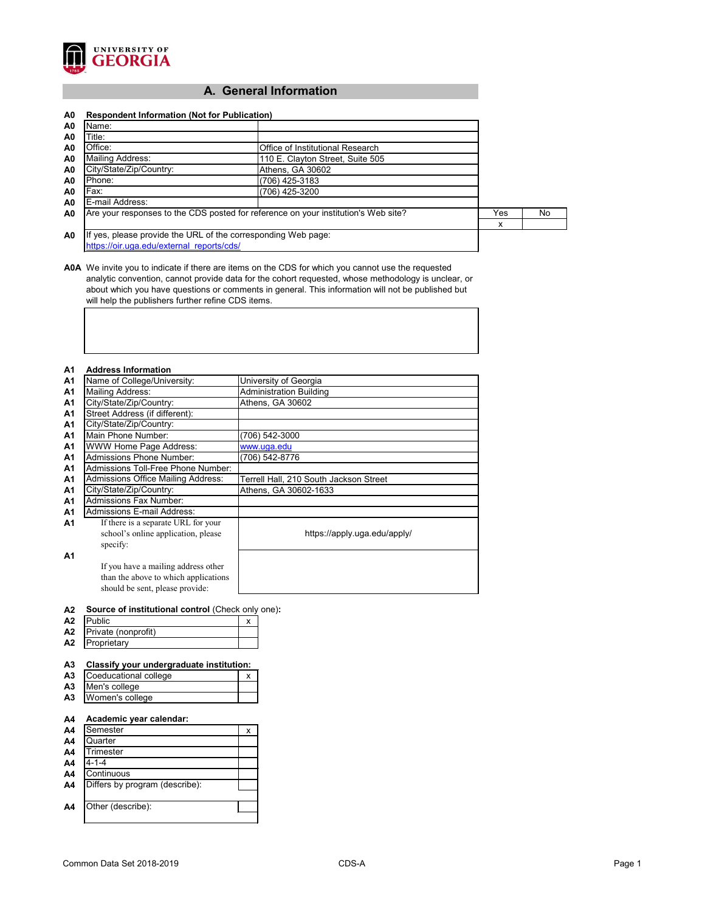

# **A. General Information**

| A0             | <b>Respondent Information (Not for Publication)</b>                                |                                  |    |  |
|----------------|------------------------------------------------------------------------------------|----------------------------------|----|--|
| A0             | Name:                                                                              |                                  |    |  |
| A0             | Title:                                                                             |                                  |    |  |
| A0             | Office:                                                                            | Office of Institutional Research |    |  |
| A0             | <b>Mailing Address:</b>                                                            | 110 E. Clayton Street, Suite 505 |    |  |
| A <sub>0</sub> | City/State/Zip/Country:                                                            | Athens, GA 30602                 |    |  |
| A0             | Phone:                                                                             | $(706)$ 425-3183                 |    |  |
| A0             | Fax:                                                                               | (706) 425-3200                   |    |  |
| A0             | E-mail Address:                                                                    |                                  |    |  |
| A <sub>0</sub> | Are your responses to the CDS posted for reference on your institution's Web site? | Yes                              | No |  |
|                |                                                                                    |                                  | х  |  |
| A0             | If yes, please provide the URL of the corresponding Web page:                      |                                  |    |  |
|                | https://oir.uga.edu/external reports/cds/                                          |                                  |    |  |

**A0A** We invite you to indicate if there are items on the CDS for which you cannot use the requested analytic convention, cannot provide data for the cohort requested, whose methodology is unclear, or about which you have questions or comments in general. This information will not be published but will help the publishers further refine CDS items.

#### **A1 Address Information**

| <u>і</u>       | Аччгөзэ шгэгшаныг                         |                                        |
|----------------|-------------------------------------------|----------------------------------------|
| A <sub>1</sub> | Name of College/University:               | University of Georgia                  |
| A <sub>1</sub> | Mailing Address:                          | <b>Administration Building</b>         |
| A <sub>1</sub> | City/State/Zip/Country:                   | Athens, GA 30602                       |
| A <sub>1</sub> | Street Address (if different):            |                                        |
| A <sub>1</sub> | City/State/Zip/Country:                   |                                        |
| A <sub>1</sub> | Main Phone Number:                        | (706) 542-3000                         |
| A <sub>1</sub> | <b>WWW Home Page Address:</b>             | www.uga.edu                            |
| A1             | <b>Admissions Phone Number:</b>           | (706) 542-8776                         |
| A <sub>1</sub> | Admissions Toll-Free Phone Number:        |                                        |
| <b>A1</b>      | <b>Admissions Office Mailing Address:</b> | Terrell Hall, 210 South Jackson Street |
| A <sub>1</sub> | City/State/Zip/Country:                   | Athens, GA 30602-1633                  |
| A <sub>1</sub> | <b>Admissions Fax Number:</b>             |                                        |
| A1             | <b>Admissions E-mail Address:</b>         |                                        |
| Α1             | If there is a separate URL for your       |                                        |
|                | school's online application, please       | https://apply.uga.edu/apply/           |
|                | specify:                                  |                                        |
| А1             |                                           |                                        |
|                | If you have a mailing address other       |                                        |
|                | than the above to which applications      |                                        |
|                | should be sent, please provide:           |                                        |

| A2 Source of institutional control (Check only one): |  |
|------------------------------------------------------|--|
|------------------------------------------------------|--|

| A <sub>2</sub> | <b>IPublic</b>      |  |
|----------------|---------------------|--|
| A <sub>2</sub> | Private (nonprofit) |  |
| A <sub>2</sub> | Proprietary         |  |

#### **A3 Classify your undergraduate institution:**

| <b>A3</b> Coeducational college |  |  |
|---------------------------------|--|--|
| A3 Men's college                |  |  |
| A3   Women's college            |  |  |

#### **A4 Academic year calendar:**

| A4             | Semester                       | x |
|----------------|--------------------------------|---|
| A4             | Quarter                        |   |
| A <sub>4</sub> | <b>Trimester</b>               |   |
| A4             | $4 - 1 - 4$                    |   |
| A4             | Continuous                     |   |
| A4             | Differs by program (describe): |   |
|                |                                |   |
| A4             | Other (describe):              |   |
|                |                                |   |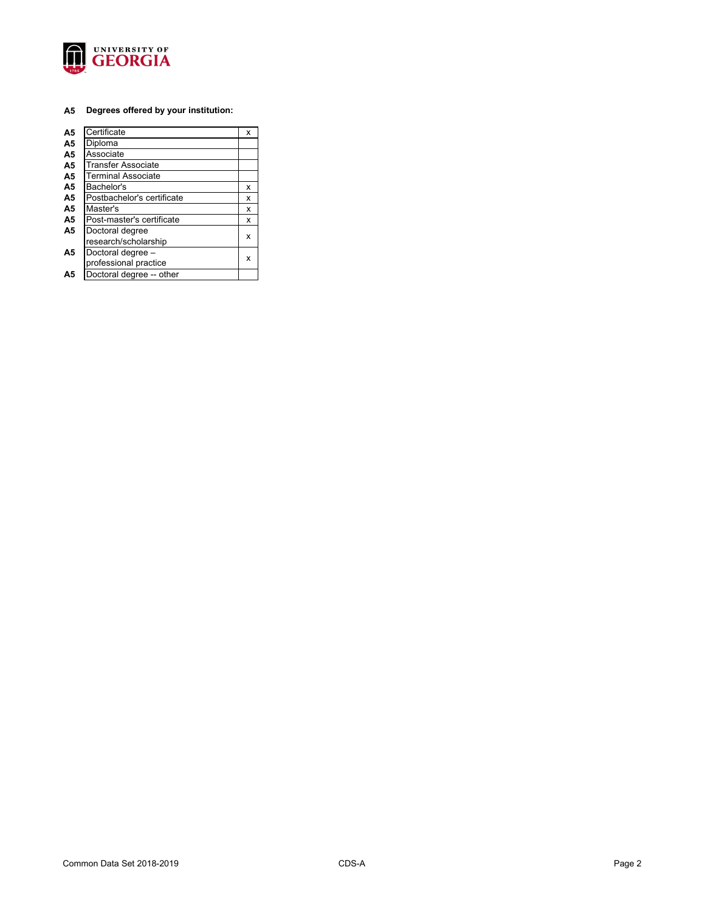

#### **A5 Degrees offered by your institution:**

| A <sub>5</sub> | Certificate                | х |
|----------------|----------------------------|---|
| A <sub>5</sub> | Diploma                    |   |
| A <sub>5</sub> | Associate                  |   |
| A <sub>5</sub> | Transfer Associate         |   |
| A <sub>5</sub> | <b>Terminal Associate</b>  |   |
| A <sub>5</sub> | Bachelor's                 | x |
| A <sub>5</sub> | Postbachelor's certificate | x |
| A <sub>5</sub> | Master's                   | x |
| A <sub>5</sub> | Post-master's certificate  | x |
| A <sub>5</sub> | Doctoral degree            |   |
|                | research/scholarship       | x |
| A5             | Doctoral degree -          |   |
|                | professional practice      | x |
| Α5             | Doctoral degree -- other   |   |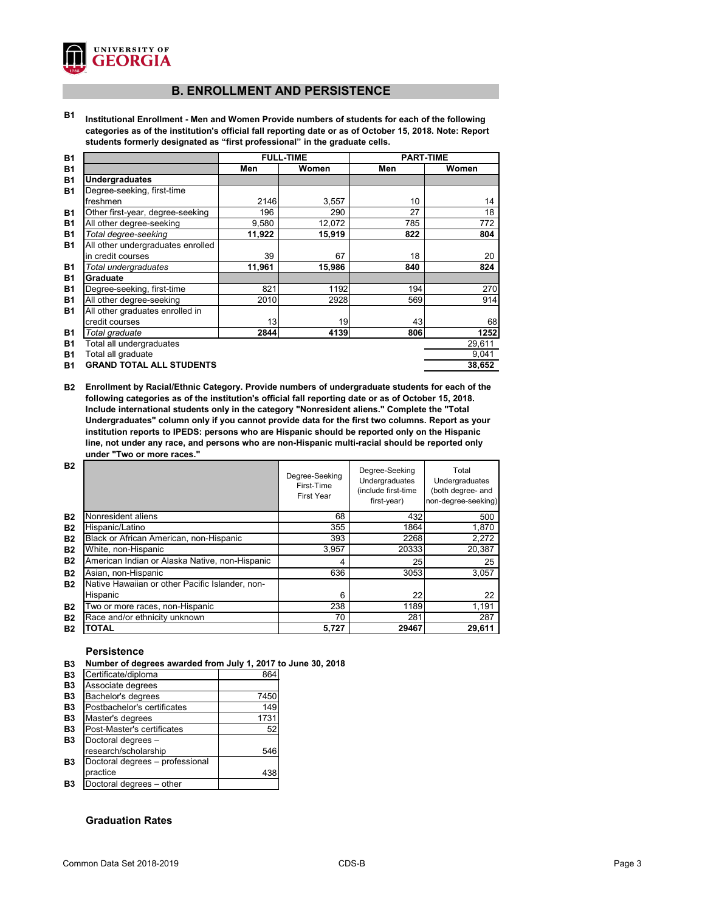

# **B. ENROLLMENT AND PERSISTENCE**

**B1 Institutional Enrollment - Men and Women Provide numbers of students for each of the following categories as of the institution's official fall reporting date or as of October 15, 2018. Note: Report students formerly designated as "first professional" in the graduate cells.**

| <b>B1</b> |                                   | <b>FULL-TIME</b> |        | <b>PART-TIME</b> |        |
|-----------|-----------------------------------|------------------|--------|------------------|--------|
| <b>B1</b> |                                   | Men              | Women  | Men              | Women  |
| <b>B1</b> | <b>Undergraduates</b>             |                  |        |                  |        |
| <b>B1</b> | Degree-seeking, first-time        |                  |        |                  |        |
|           | freshmen                          | 2146             | 3,557  | 10               | 14     |
| <b>B1</b> | Other first-year, degree-seeking  | 196              | 290    | 27               | 18     |
| <b>B1</b> | All other degree-seeking          | 9,580            | 12,072 | 785              | 772    |
| <b>B1</b> | Total degree-seeking              | 11,922           | 15,919 | 822              | 804    |
| <b>B1</b> | All other undergraduates enrolled |                  |        |                  |        |
|           | in credit courses                 | 39               | 67     | 18               | 20     |
| <b>B1</b> | Total undergraduates              | 11,961           | 15,986 | 840              | 824    |
| <b>B1</b> | Graduate                          |                  |        |                  |        |
| <b>B1</b> | Degree-seeking, first-time        | 821              | 1192   | 194              | 270    |
| <b>B1</b> | All other degree-seeking          | 2010             | 2928   | 569              | 914    |
| <b>B1</b> | All other graduates enrolled in   |                  |        |                  |        |
|           | credit courses                    | 13               | 19     | 43               | 68     |
| <b>B1</b> | Total graduate                    | 2844             | 4139   | 806              | 1252   |
| <b>B1</b> | Total all undergraduates          |                  |        |                  | 29,611 |
| <b>B1</b> | Total all graduate                |                  |        |                  | 9,041  |
| <b>B1</b> | <b>GRAND TOTAL ALL STUDENTS</b>   |                  |        |                  | 38,652 |

**B2 Enrollment by Racial/Ethnic Category. Provide numbers of undergraduate students for each of the following categories as of the institution's official fall reporting date or as of October 15, 2018. Include international students only in the category "Nonresident aliens." Complete the "Total Undergraduates" column only if you cannot provide data for the first two columns. Report as your institution reports to IPEDS: persons who are Hispanic should be reported only on the Hispanic line, not under any race, and persons who are non-Hispanic multi-racial should be reported only under "Two or more races."** 

| <b>B2</b> |                                                 | Degree-Seeking<br>First-Time<br><b>First Year</b> | Degree-Seeking<br>Undergraduates<br>(include first-time<br>first-year) | Total<br>Undergraduates<br>(both degree- and<br>non-degree-seeking) |
|-----------|-------------------------------------------------|---------------------------------------------------|------------------------------------------------------------------------|---------------------------------------------------------------------|
| <b>B2</b> | Nonresident aliens                              | 68                                                | 432                                                                    | 500                                                                 |
| <b>B2</b> | Hispanic/Latino                                 | 355                                               | 1864                                                                   | 1,870                                                               |
| <b>B2</b> | Black or African American, non-Hispanic         | 393                                               | 2268                                                                   | 2,272                                                               |
| <b>B2</b> | White, non-Hispanic                             | 3,957                                             | 20333                                                                  | 20,387                                                              |
| <b>B2</b> | American Indian or Alaska Native, non-Hispanic  | 4                                                 | 25                                                                     | 25                                                                  |
| <b>B2</b> | Asian, non-Hispanic                             | 636                                               | 3053                                                                   | 3,057                                                               |
| <b>B2</b> | Native Hawaiian or other Pacific Islander, non- |                                                   |                                                                        |                                                                     |
|           | Hispanic                                        | 6                                                 | 22                                                                     | 22                                                                  |
| <b>B2</b> | Two or more races, non-Hispanic                 | 238                                               | 1189                                                                   | 1,191                                                               |
| <b>B2</b> | Race and/or ethnicity unknown                   | 70                                                | 281                                                                    | 287                                                                 |
| <b>B2</b> | <b>TOTAL</b>                                    | 5,727                                             | 29467                                                                  | 29,611                                                              |

#### **Persistence**

**B3 Number of degrees awarded from July 1, 2017 to June 30, 2018**

| Certificate/diploma             | 864  |
|---------------------------------|------|
| Associate degrees               |      |
| Bachelor's degrees              | 7450 |
| Postbachelor's certificates     | 149  |
| Master's degrees                | 1731 |
| Post-Master's certificates      | 52   |
| Doctoral degrees -              |      |
| research/scholarship            | 546  |
| Doctoral degrees - professional |      |
| practice                        | 438  |
| Doctoral degrees - other        |      |

## **Graduation Rates**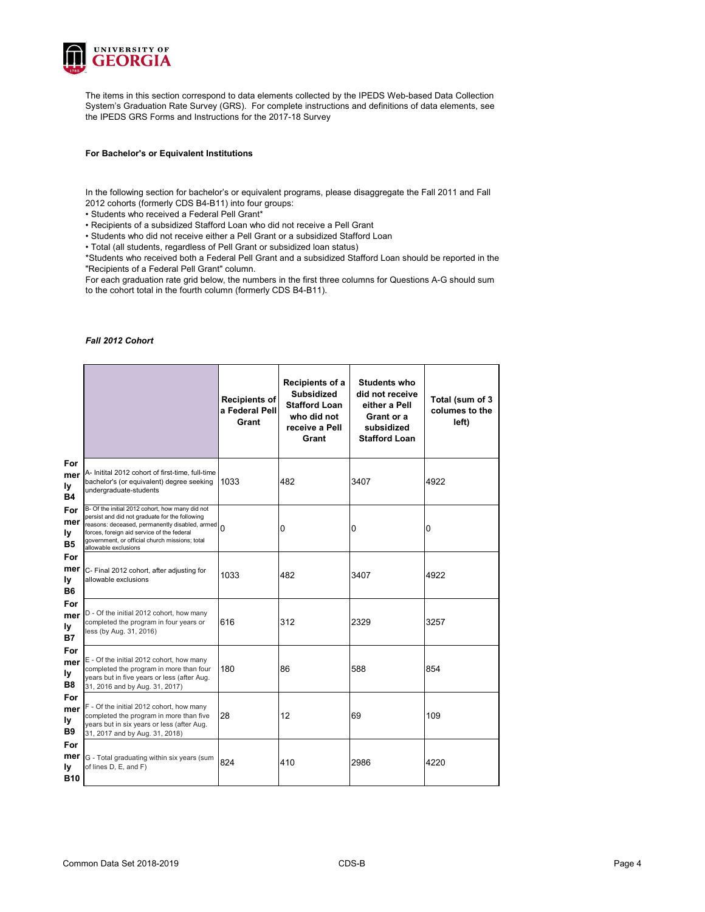

The items in this section correspond to data elements collected by the IPEDS Web-based Data Collection System's Graduation Rate Survey (GRS). For complete instructions and definitions of data elements, see the IPEDS GRS Forms and Instructions for the 2017-18 Survey

#### **For Bachelor's or Equivalent Institutions**

In the following section for bachelor's or equivalent programs, please disaggregate the Fall 2011 and Fall 2012 cohorts (formerly CDS B4-B11) into four groups:

• Students who received a Federal Pell Grant\*

• Recipients of a subsidized Stafford Loan who did not receive a Pell Grant

• Students who did not receive either a Pell Grant or a subsidized Stafford Loan

• Total (all students, regardless of Pell Grant or subsidized loan status)

\*Students who received both a Federal Pell Grant and a subsidized Stafford Loan should be reported in the "Recipients of a Federal Pell Grant" column.

For each graduation rate grid below, the numbers in the first three columns for Questions A-G should sum to the cohort total in the fourth column (formerly CDS B4-B11).

#### *Fall 2012 Cohort*

|                                       |                                                                                                                                                                                                                                                                               | <b>Recipients of</b><br>a Federal Pell<br>Grant | Recipients of a<br><b>Subsidized</b><br><b>Stafford Loan</b><br>who did not<br>receive a Pell<br>Grant | <b>Students who</b><br>did not receive<br>either a Pell<br>Grant or a<br>subsidized<br><b>Stafford Loan</b> | Total (sum of 3<br>columes to the<br>left) |
|---------------------------------------|-------------------------------------------------------------------------------------------------------------------------------------------------------------------------------------------------------------------------------------------------------------------------------|-------------------------------------------------|--------------------------------------------------------------------------------------------------------|-------------------------------------------------------------------------------------------------------------|--------------------------------------------|
| For<br>mer<br>ly<br><b>B4</b>         | A- Initital 2012 cohort of first-time, full-time<br>bachelor's (or equivalent) degree seeking<br>undergraduate-students                                                                                                                                                       | 1033                                            | 482                                                                                                    | 3407                                                                                                        | 4922                                       |
| For<br>mer<br>ly<br><b>B5</b>         | B- Of the initial 2012 cohort, how many did not<br>persist and did not graduate for the following<br>reasons: deceased, permanently disabled, armed 0<br>forces, foreign aid service of the federal<br>government, or official church missions; total<br>allowable exclusions |                                                 | 0                                                                                                      | 0                                                                                                           | 0                                          |
| For<br>mer<br>ly<br><b>B6</b>         | C- Final 2012 cohort, after adjusting for<br>allowable exclusions                                                                                                                                                                                                             | 1033                                            | 482                                                                                                    | 3407                                                                                                        | 4922                                       |
| For<br>mer<br>ly<br><b>B7</b>         | D - Of the initial 2012 cohort, how many<br>completed the program in four years or<br>less (by Aug. 31, 2016)                                                                                                                                                                 | 616                                             | 312                                                                                                    | 2329                                                                                                        | 3257                                       |
| For<br>mer<br>ly<br>B8                | E - Of the initial 2012 cohort, how many<br>completed the program in more than four<br>years but in five years or less (after Aug.<br>31, 2016 and by Aug. 31, 2017)                                                                                                          | 180                                             | 86                                                                                                     | 588                                                                                                         | 854                                        |
| For<br>mer<br>ly<br><b>B9</b>         | F - Of the initial 2012 cohort, how many<br>completed the program in more than five<br>years but in six years or less (after Aug.<br>31, 2017 and by Aug. 31, 2018)                                                                                                           | 28                                              | 12                                                                                                     | 69                                                                                                          | 109                                        |
| For<br>mer<br><u>ly</u><br><b>B10</b> | G - Total graduating within six years (sum<br>of lines D, E, and F)                                                                                                                                                                                                           | 824                                             | 410                                                                                                    | 2986                                                                                                        | 4220                                       |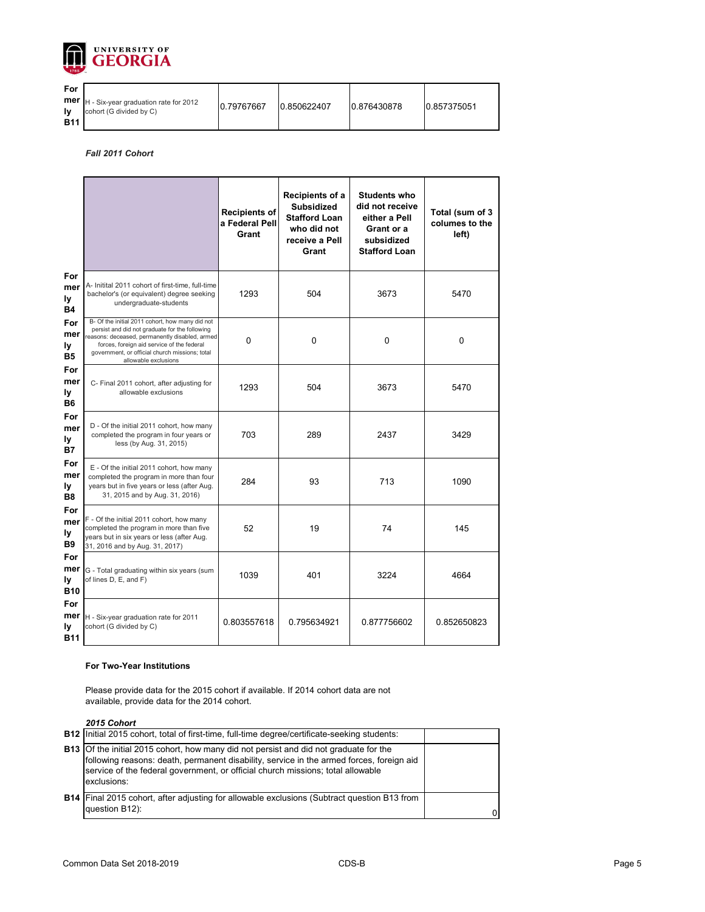

| For        |                                                                               |            |             |             |             |
|------------|-------------------------------------------------------------------------------|------------|-------------|-------------|-------------|
| <b>B11</b> | <b>mer</b> $H - Six-year graduation rate for 2012$<br>cohort (G divided by C) | 0.79767667 | 0.850622407 | 0.876430878 | 0.857375051 |

*Fall 2011 Cohort*

|                                       |                                                                                                                                                                                                                                                                             | <b>Recipients of</b><br>a Federal Pell<br>Grant | Recipients of a<br><b>Subsidized</b><br><b>Stafford Loan</b><br>who did not<br>receive a Pell<br>Grant | <b>Students who</b><br>did not receive<br>either a Pell<br>Grant or a<br>subsidized<br><b>Stafford Loan</b> | Total (sum of 3<br>columes to the<br>left) |
|---------------------------------------|-----------------------------------------------------------------------------------------------------------------------------------------------------------------------------------------------------------------------------------------------------------------------------|-------------------------------------------------|--------------------------------------------------------------------------------------------------------|-------------------------------------------------------------------------------------------------------------|--------------------------------------------|
| For<br>mer<br>ly<br><b>B4</b>         | A- Initital 2011 cohort of first-time, full-time<br>bachelor's (or equivalent) degree seeking<br>undergraduate-students                                                                                                                                                     | 1293                                            | 504                                                                                                    | 3673                                                                                                        | 5470                                       |
| For<br>mer<br>ly<br><b>B5</b>         | B- Of the initial 2011 cohort, how many did not<br>persist and did not graduate for the following<br>reasons: deceased, permanently disabled, armed<br>forces, foreign aid service of the federal<br>government, or official church missions; total<br>allowable exclusions | $\mathbf 0$                                     | $\mathbf 0$                                                                                            | $\boldsymbol{0}$                                                                                            | 0                                          |
| For<br>mer<br>ly<br><b>B6</b>         | C- Final 2011 cohort, after adjusting for<br>allowable exclusions                                                                                                                                                                                                           | 1293                                            | 504                                                                                                    | 3673                                                                                                        | 5470                                       |
| For<br>mer<br>ly<br><b>B7</b>         | D - Of the initial 2011 cohort, how many<br>completed the program in four years or<br>less (by Aug. 31, 2015)                                                                                                                                                               | 703                                             | 289                                                                                                    | 2437                                                                                                        | 3429                                       |
| For<br>mer<br>ly<br><b>B8</b>         | E - Of the initial 2011 cohort, how many<br>completed the program in more than four<br>years but in five years or less (after Aug.<br>31, 2015 and by Aug. 31, 2016)                                                                                                        | 284                                             | 93                                                                                                     | 713                                                                                                         | 1090                                       |
| For<br>mer<br>ly<br><b>B9</b>         | F - Of the initial 2011 cohort, how many<br>completed the program in more than five<br>years but in six years or less (after Aug.<br>31, 2016 and by Aug. 31, 2017)                                                                                                         | 52                                              | 19                                                                                                     | 74                                                                                                          | 145                                        |
| For<br>mer<br><b>ly</b><br><b>B10</b> | G - Total graduating within six years (sum<br>of lines D, E, and F)                                                                                                                                                                                                         | 1039                                            | 401                                                                                                    | 3224                                                                                                        | 4664                                       |
| For<br>mer<br><b>ly</b><br><b>B11</b> | H - Six-year graduation rate for 2011<br>cohort (G divided by C)                                                                                                                                                                                                            | 0.803557618                                     | 0.795634921                                                                                            | 0.877756602                                                                                                 | 0.852650823                                |

#### **For Two-Year Institutions**

Please provide data for the 2015 cohort if available. If 2014 cohort data are not available, provide data for the 2014 cohort.

*2015 Cohort*

| LV IV VVIIVI L                                                                                                                                                                                                                                                                             |  |
|--------------------------------------------------------------------------------------------------------------------------------------------------------------------------------------------------------------------------------------------------------------------------------------------|--|
| <b>B12</b> Initial 2015 cohort, total of first-time, full-time degree/certificate-seeking students:                                                                                                                                                                                        |  |
| <b>B13</b> Of the initial 2015 cohort, how many did not persist and did not graduate for the<br>following reasons: death, permanent disability, service in the armed forces, foreign aid<br>service of the federal government, or official church missions; total allowable<br>exclusions: |  |
| <b>B14</b> Final 2015 cohort, after adjusting for allowable exclusions (Subtract question B13 from<br>question B12):                                                                                                                                                                       |  |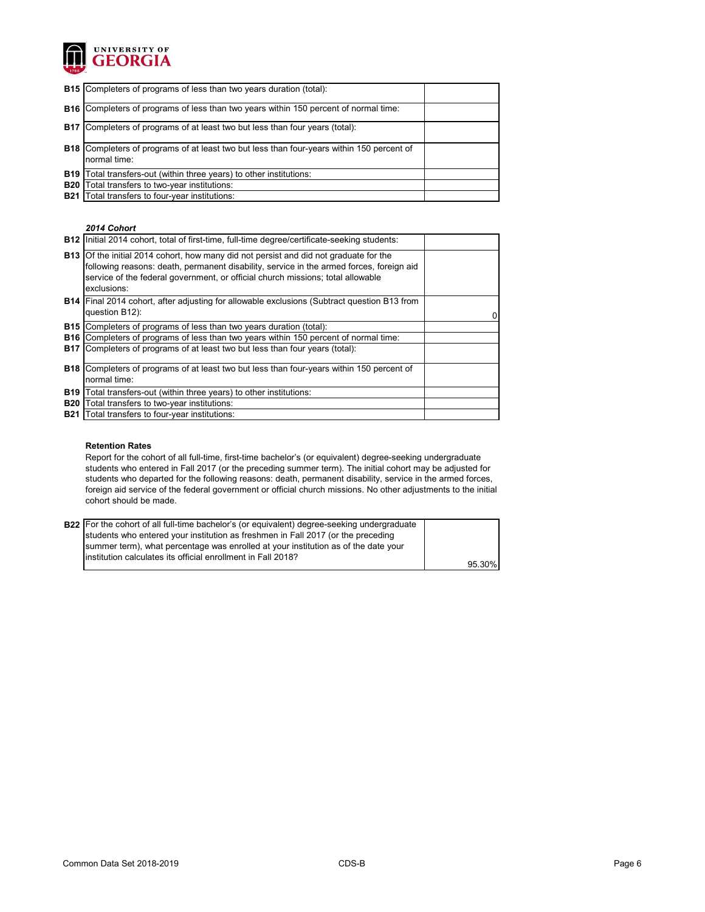

| <b>B15</b> Completers of programs of less than two years duration (total):                                       |  |
|------------------------------------------------------------------------------------------------------------------|--|
| <b>B16</b> Completers of programs of less than two years within 150 percent of normal time:                      |  |
| <b>B17</b> Completers of programs of at least two but less than four years (total):                              |  |
| <b>B18</b> Completers of programs of at least two but less than four-years within 150 percent of<br>normal time: |  |
| <b>B19</b> Total transfers-out (within three years) to other institutions:                                       |  |
| <b>B20</b> Total transfers to two-year institutions:                                                             |  |
| <b>B21</b> Total transfers to four-year institutions:                                                            |  |

#### *2014 Cohort*

|            | B12   Initial 2014 cohort, total of first-time, full-time degree/certificate-seeking students:                                                                                                                                                                                             |  |
|------------|--------------------------------------------------------------------------------------------------------------------------------------------------------------------------------------------------------------------------------------------------------------------------------------------|--|
|            | <b>B13</b> Of the initial 2014 cohort, how many did not persist and did not graduate for the<br>following reasons: death, permanent disability, service in the armed forces, foreign aid<br>service of the federal government, or official church missions; total allowable<br>exclusions: |  |
|            | <b>B14</b> Final 2014 cohort, after adjusting for allowable exclusions (Subtract question B13 from<br>question B12):                                                                                                                                                                       |  |
|            | <b>B15</b> Completers of programs of less than two years duration (total):                                                                                                                                                                                                                 |  |
|            | <b>B16</b> Completers of programs of less than two years within 150 percent of normal time:                                                                                                                                                                                                |  |
|            | <b>B17</b> Completers of programs of at least two but less than four years (total):                                                                                                                                                                                                        |  |
|            | <b>B18</b> Completers of programs of at least two but less than four-years within 150 percent of                                                                                                                                                                                           |  |
|            | normal time:                                                                                                                                                                                                                                                                               |  |
| <b>B19</b> | Total transfers-out (within three years) to other institutions:                                                                                                                                                                                                                            |  |
| <b>B20</b> | Total transfers to two-year institutions:                                                                                                                                                                                                                                                  |  |
| <b>B21</b> | Total transfers to four-year institutions:                                                                                                                                                                                                                                                 |  |

#### **Retention Rates**

Report for the cohort of all full-time, first-time bachelor's (or equivalent) degree-seeking undergraduate students who entered in Fall 2017 (or the preceding summer term). The initial cohort may be adjusted for students who departed for the following reasons: death, permanent disability, service in the armed forces, foreign aid service of the federal government or official church missions. No other adjustments to the initial cohort should be made.

| <b>B22</b> For the cohort of all full-time bachelor's (or equivalent) degree-seeking undergraduate |        |
|----------------------------------------------------------------------------------------------------|--------|
| students who entered your institution as freshmen in Fall 2017 (or the preceding                   |        |
| summer term), what percentage was enrolled at your institution as of the date your                 |        |
| linstitution calculates its official enrollment in Fall 2018?                                      |        |
|                                                                                                    | 95.30% |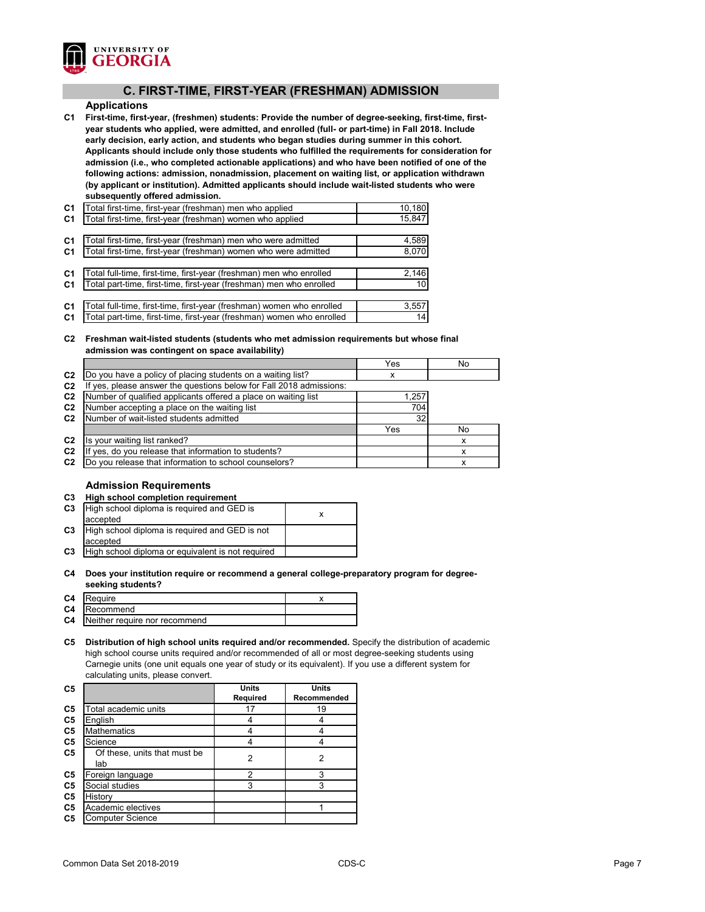

# **C. FIRST-TIME, FIRST-YEAR (FRESHMAN) ADMISSION**

#### **Applications**

**C1 First-time, first-year, (freshmen) students: Provide the number of degree-seeking, first-time, firstyear students who applied, were admitted, and enrolled (full- or part-time) in Fall 2018. Include early decision, early action, and students who began studies during summer in this cohort. Applicants should include only those students who fulfilled the requirements for consideration for admission (i.e., who completed actionable applications) and who have been notified of one of the following actions: admission, nonadmission, placement on waiting list, or application withdrawn (by applicant or institution). Admitted applicants should include wait-listed students who were subsequently offered admission.**

| C <sub>1</sub> | Total first-time, first-year (freshman) men who applied               | 10,180 |
|----------------|-----------------------------------------------------------------------|--------|
| C <sub>1</sub> | Total first-time, first-year (freshman) women who applied             | 15,847 |
|                |                                                                       |        |
| C <sub>1</sub> | Total first-time, first-year (freshman) men who were admitted         | 4,589  |
| C <sub>1</sub> | Total first-time, first-year (freshman) women who were admitted       | 8,070  |
|                |                                                                       |        |
| C <sub>1</sub> | Total full-time, first-time, first-year (freshman) men who enrolled   | 2,146  |
| C <sub>1</sub> | Total part-time, first-time, first-year (freshman) men who enrolled   | 10     |
|                |                                                                       |        |
| C <sub>1</sub> | Total full-time, first-time, first-year (freshman) women who enrolled | 3,557  |
| C <sub>1</sub> | Total part-time, first-time, first-year (freshman) women who enrolled | 14     |

#### **C2 Freshman wait-listed students (students who met admission requirements but whose final admission was contingent on space availability)**

|                |                                                                  | Yes   | No |
|----------------|------------------------------------------------------------------|-------|----|
| C <sub>2</sub> | [Do you have a policy of placing students on a waiting list?     | х     |    |
| C <sub>2</sub> | yes, please answer the questions below for Fall 2018 admissions: |       |    |
| C <sub>2</sub> | Number of qualified applicants offered a place on waiting list   | 1,257 |    |
| C <sub>2</sub> | Number accepting a place on the waiting list                     | 704   |    |
| C <sub>2</sub> | Number of wait-listed students admitted                          | 32    |    |
|                |                                                                  | Yes   | No |
| C <sub>2</sub> | Is your waiting list ranked?                                     |       |    |
| C <sub>2</sub> | yes, do you release that information to students?                |       |    |
| C <sub>2</sub> | Do you release that information to school counselors?            |       |    |

#### **Admission Requirements**

| C <sub>3</sub> | <b>High school completion requirement</b>         |   |
|----------------|---------------------------------------------------|---|
| C <sub>3</sub> | High school diploma is required and GED is        | x |
|                | accepted                                          |   |
| C <sub>3</sub> | High school diploma is required and GED is not    |   |
|                | accepted                                          |   |
| C <sub>3</sub> | High school diploma or equivalent is not required |   |
|                |                                                   |   |

#### **C4 Does your institution require or recommend a general college-preparatory program for degreeseeking students?**

| C4 | <b>IRequire</b>                         |  |
|----|-----------------------------------------|--|
|    | <b>C4</b> Recommend                     |  |
|    | <b>C4</b> Neither require nor recommend |  |
|    |                                         |  |

**C5 Distribution of high school units required and/or recommended.** Specify the distribution of academic high school course units required and/or recommended of all or most degree-seeking students using Carnegie units (one unit equals one year of study or its equivalent). If you use a different system for calculating units, please convert.

|                              | Units           | Units              |
|------------------------------|-----------------|--------------------|
|                              | <b>Required</b> | <b>Recommended</b> |
| Total academic units         | 17              | 19                 |
| English                      |                 |                    |
| <b>Mathematics</b>           |                 |                    |
| Science                      |                 |                    |
| Of these, units that must be |                 | 2                  |
| lab                          |                 |                    |
| Foreign language             | 2               | 3                  |
| Social studies               | 3               | 3                  |
| History                      |                 |                    |
| Academic electives           |                 |                    |
| <b>Computer Science</b>      |                 |                    |
|                              |                 | 2                  |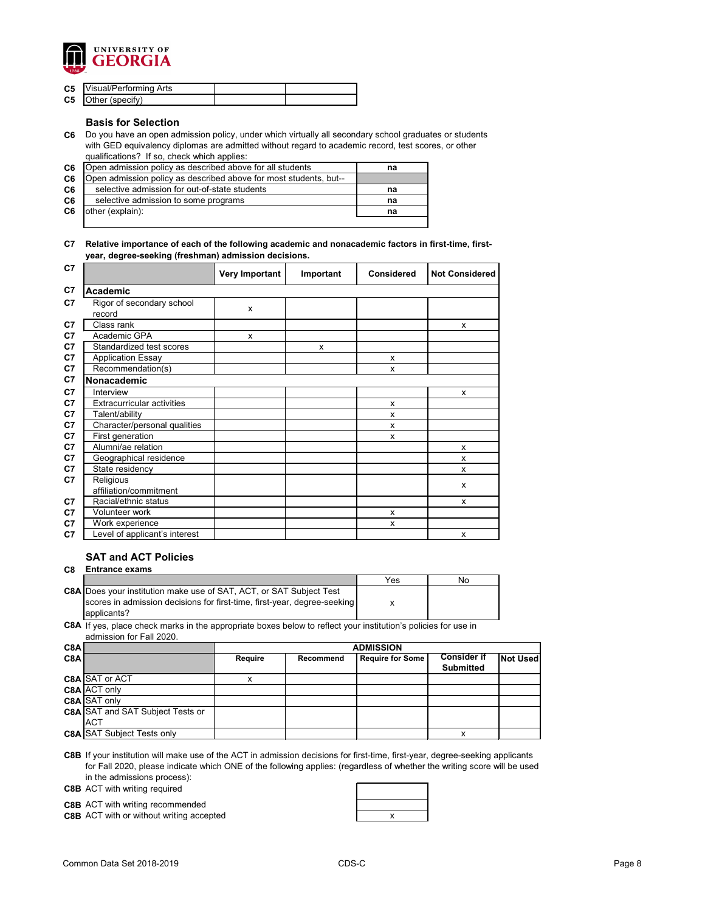

| <b>C5</b> Visual/Performing Arts |  |
|----------------------------------|--|
| <b>C5</b> Other (specify)        |  |

#### **Basis for Selection**

**C6** Do you have an open admission policy, under which virtually all secondary school graduates or students with GED equivalency diplomas are admitted without regard to academic record, test scores, or other qualifications? If so, check which applies:

| C6 | Open admission policy as described above for all students         | na |
|----|-------------------------------------------------------------------|----|
| C6 | Open admission policy as described above for most students, but-- |    |
| C6 | selective admission for out-of-state students                     | na |
| C6 | selective admission to some programs                              | na |
| C6 | other (explain):                                                  | na |
|    |                                                                   |    |

#### **C7 Relative importance of each of the following academic and nonacademic factors in first-time, firstyear, degree-seeking (freshman) admission decisions.**

| C7             |                                     | <b>Very Important</b> | Important | <b>Considered</b> | <b>Not Considered</b> |
|----------------|-------------------------------------|-----------------------|-----------|-------------------|-----------------------|
| C7             | <b>Academic</b>                     |                       |           |                   |                       |
| C <sub>7</sub> | Rigor of secondary school<br>record | X                     |           |                   |                       |
| C7             | Class rank                          |                       |           |                   | X                     |
| C7             | Academic GPA                        | X                     |           |                   |                       |
| C7             | Standardized test scores            |                       | X         |                   |                       |
| C7             | <b>Application Essay</b>            |                       |           | X                 |                       |
| C7             | Recommendation(s)                   |                       |           | X                 |                       |
| C7             | Nonacademic                         |                       |           |                   |                       |
| C <sub>7</sub> | Interview                           |                       |           |                   | X                     |
| C7             | <b>Extracurricular activities</b>   |                       |           | X                 |                       |
| C <sub>7</sub> | Talent/ability                      |                       |           | X                 |                       |
| C7             | Character/personal qualities        |                       |           | X                 |                       |
| C7             | First generation                    |                       |           | X                 |                       |
| C7             | Alumni/ae relation                  |                       |           |                   | X                     |
| C <sub>7</sub> | Geographical residence              |                       |           |                   | X                     |
| C7             | State residency                     |                       |           |                   | X                     |
| C7             | Religious<br>affiliation/commitment |                       |           |                   | X                     |
| C <sub>7</sub> | Racial/ethnic status                |                       |           |                   | X                     |
| C7             | Volunteer work                      |                       |           | X                 |                       |
| C7             | Work experience                     |                       |           | X                 |                       |
| C7             | Level of applicant's interest       |                       |           |                   | X                     |

## **SAT and ACT Policies**

**C8 Entrance exams** 

|                                                                            | Yes | No |
|----------------------------------------------------------------------------|-----|----|
| <b>C8A Does your institution make use of SAT, ACT, or SAT Subject Test</b> |     |    |
| scores in admission decisions for first-time, first-year, degree-seeking   |     |    |
| applicants?                                                                |     |    |

**C8A** If yes, place check marks in the appropriate boxes below to reflect your institution's policies for use in admission for Fall 2020.

| C8A |                                         | <b>ADMISSION</b> |                  |                         |                    |          |
|-----|-----------------------------------------|------------------|------------------|-------------------------|--------------------|----------|
| C8A |                                         | <b>Require</b>   | <b>Recommend</b> | <b>Require for Some</b> | <b>Consider if</b> | Not Used |
|     |                                         |                  |                  |                         | <b>Submitted</b>   |          |
|     | <b>C8A SAT or ACT</b>                   |                  |                  |                         |                    |          |
|     | C8A ACT only                            |                  |                  |                         |                    |          |
|     | C8A SAT only                            |                  |                  |                         |                    |          |
|     | <b>C8A SAT and SAT Subject Tests or</b> |                  |                  |                         |                    |          |
|     | <b>IACT</b>                             |                  |                  |                         |                    |          |
|     | <b>C8A SAT Subject Tests only</b>       |                  |                  |                         | x                  |          |

**C8B** If your institution will make use of the ACT in admission decisions for first-time, first-year, degree-seeking applicants for Fall 2020, please indicate which ONE of the following applies: (regardless of whether the writing score will be used in the admissions process):

**C8B** ACT with writing required

**C8B** ACT with writing recommended

**C8B** ACT with or without writing accepted **ACT Reserves Reserves and STAGE RESOLUTION**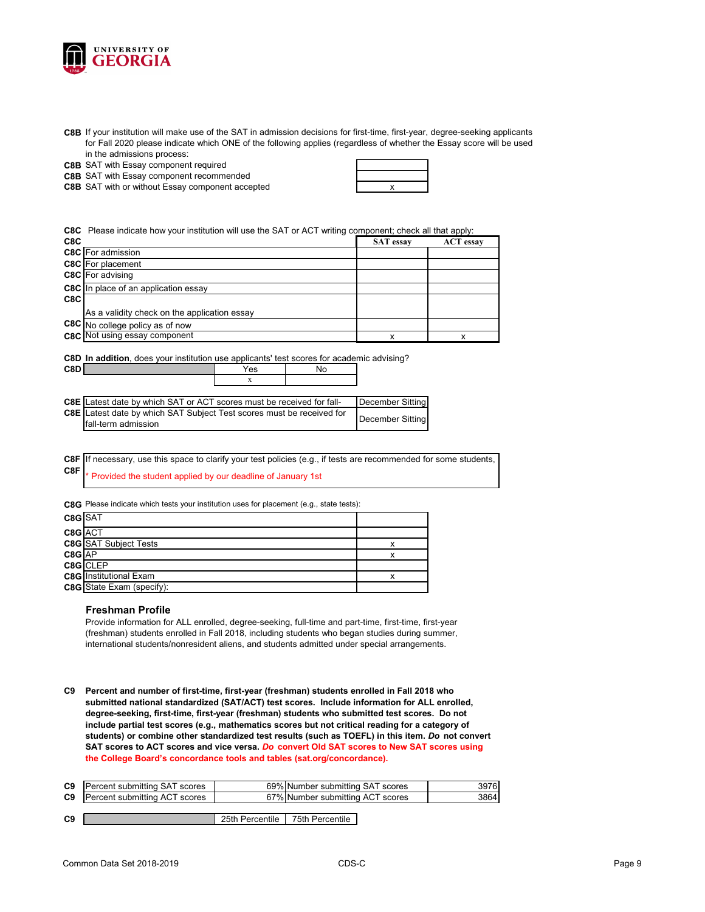

**C8B** If your institution will make use of the SAT in admission decisions for first-time, first-year, degree-seeking applicants for Fall 2020 please indicate which ONE of the following applies (regardless of whether the Essay score will be used in the admissions process:

**C8B** SAT with Essay component required

**C8B** SAT with Essay component recommended

**C8B** SAT with or without Essay component accepted **with a struck of the control of the control of the control of the control of the control of the control of the control of the control of the control of the control of the** 

**C8C** Please indicate how your institution will use the SAT or ACT writing component; check all that apply:

| C8C |                                              | <b>SAT</b> essay | <b>ACT</b> essay |
|-----|----------------------------------------------|------------------|------------------|
|     | <b>C8C</b> For admission                     |                  |                  |
|     | <b>C8C</b> For placement                     |                  |                  |
|     | C8C For advising                             |                  |                  |
|     | <b>C8C</b> In place of an application essay  |                  |                  |
| C8C |                                              |                  |                  |
|     | As a validity check on the application essay |                  |                  |
|     | C8C No college policy as of now              |                  |                  |
|     | <b>C8C</b> Not using essay component         | X                |                  |
|     |                                              |                  |                  |

**C8D In addition**, does your institution use applicants' test scores for academic advising?

| <b>C8E</b> Latest date by which SAT or ACT scores must be received for fall- |  | December Sitting |
|------------------------------------------------------------------------------|--|------------------|
| <b>C8E</b> Latest date by which SAT Subject Test scores must be received for |  | December Sitting |
| fall-term admission                                                          |  |                  |

**C8F C8F** Provided the student applied by our deadline of January 1st If necessary, use this space to clarify your test policies (e.g., if tests are recommended for some students,

**C8G** Please indicate which tests your institution uses for placement (e.g., state tests):

**C8D** Yes No

| C8G SAT                |                                  |  |
|------------------------|----------------------------------|--|
| $C8G$ $\overline{ACT}$ |                                  |  |
|                        | <b>C8G</b> SAT Subject Tests     |  |
| $C8G$ AP               |                                  |  |
|                        | C8G CLEP                         |  |
|                        | <b>C8G</b> Institutional Exam    |  |
|                        | <b>C8G</b> State Exam (specify): |  |

#### **Freshman Profile**

Provide information for ALL enrolled, degree-seeking, full-time and part-time, first-time, first-year (freshman) students enrolled in Fall 2018, including students who began studies during summer, international students/nonresident aliens, and students admitted under special arrangements.

**C9 Percent and number of first-time, first-year (freshman) students enrolled in Fall 2018 who submitted national standardized (SAT/ACT) test scores. Include information for ALL enrolled, degree-seeking, first-time, first-year (freshman) students who submitted test scores. Do not include partial test scores (e.g., mathematics scores but not critical reading for a category of students) or combine other standardized test results (such as TOEFL) in this item.** *Do* **not convert SAT scores to ACT scores and vice versa.** *Do* **convert Old SAT scores to New SAT scores using the College Board's concordance tools and tables (sat.org/concordance).**

| C9 | <b>Percent submitting SAT scores</b> |                 | 69% Number submitting SAT scores | 3976 |
|----|--------------------------------------|-----------------|----------------------------------|------|
| C9 | <b>Percent submitting ACT scores</b> |                 | 67% Number submitting ACT scores | 3864 |
|    |                                      |                 |                                  |      |
| C9 |                                      | 25th Percentile | 75th Percentile                  |      |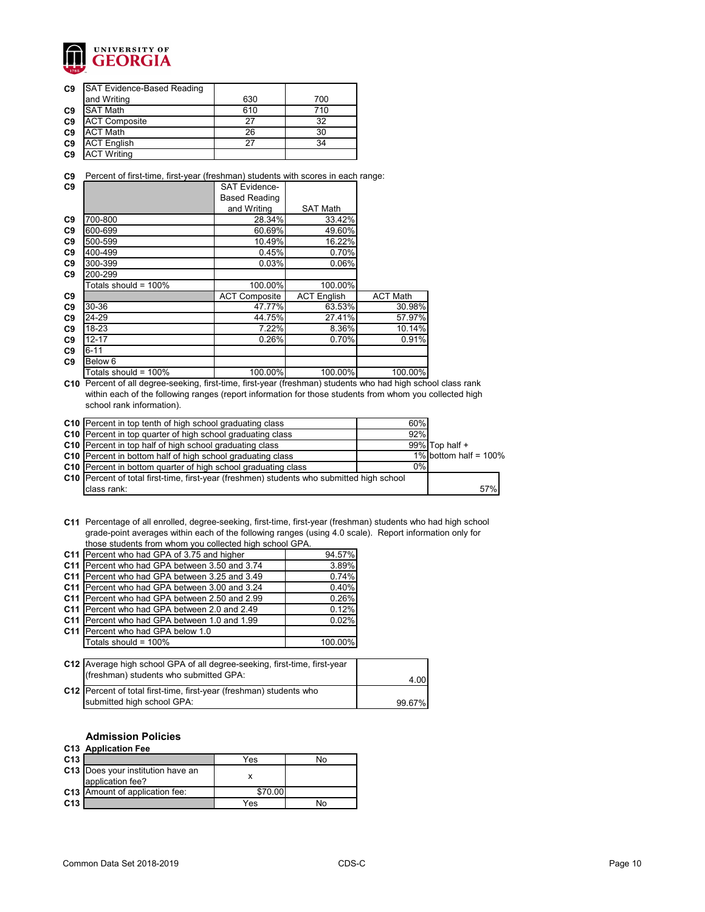

| C9             | <b>SAT Evidence-Based Reading</b> |     |     |
|----------------|-----------------------------------|-----|-----|
|                | and Writing                       | 630 | 700 |
| C <sub>9</sub> | <b>SAT Math</b>                   | 610 | 710 |
| C <sub>9</sub> | <b>ACT Composite</b>              | 27  | 32  |
| C <sub>9</sub> | <b>ACT Math</b>                   | 26  | 30  |
| C <sub>9</sub> | <b>ACT English</b>                | 27  | 34  |
| C <sub>9</sub> | <b>ACT Writing</b>                |     |     |

**C9** Percent of first-time, first-year (freshman) students with scores in each range:

| C <sub>9</sub> |                         | <b>SAT Evidence-</b> |                    |                 |
|----------------|-------------------------|----------------------|--------------------|-----------------|
|                |                         | <b>Based Reading</b> |                    |                 |
|                |                         | and Writing          | <b>SAT Math</b>    |                 |
| C <sub>9</sub> | 700-800                 | 28.34%               | 33.42%             |                 |
| C <sub>9</sub> | 600-699                 | 60.69%               | 49.60%             |                 |
| C <sub>9</sub> | 500-599                 | 10.49%               | 16.22%             |                 |
| C <sub>9</sub> | 400-499                 | 0.45%                | 0.70%              |                 |
| C <sub>9</sub> | 300-399                 | 0.03%                | 0.06%              |                 |
| C9             | 200-299                 |                      |                    |                 |
|                | Totals should = $100\%$ | 100.00%              | 100.00%            |                 |
| C9             |                         | <b>ACT Composite</b> | <b>ACT English</b> | <b>ACT Math</b> |
| C <sub>9</sub> | 30-36                   | 47.77%               | 63.53%             | 30.98%          |
| C <sub>9</sub> | 24-29                   | 44.75%               | 27.41%             | 57.97%          |
| C <sub>9</sub> | 18-23                   | 7.22%                | 8.36%              | 10.14%          |
| C <sub>9</sub> | $12 - 17$               | 0.26%                | 0.70%              | 0.91%           |
| C <sub>9</sub> | $6 - 11$                |                      |                    |                 |
| C <sub>9</sub> | Below 6                 |                      |                    |                 |
|                | Totals should = 100%    | 100.00%              | 100.00%            | 100.00%         |

**C10** Percent of all degree-seeking, first-time, first-year (freshman) students who had high school class rank within each of the following ranges (report information for those students from whom you collected high school rank information).

| C10 Percent in top tenth of high school graduating class                                  | 60%   |                          |
|-------------------------------------------------------------------------------------------|-------|--------------------------|
| C10 Percent in top quarter of high school graduating class                                | 92%   |                          |
| C10 Percent in top half of high school graduating class                                   |       | 99% Top half $+$         |
| C10 Percent in bottom half of high school graduating class                                |       | 1% bottom half = $100\%$ |
| <b>C10</b> Percent in bottom quarter of high school graduating class                      | $0\%$ |                          |
| C10 Percent of total first-time, first-year (freshmen) students who submitted high school |       |                          |
| class rank:                                                                               |       | 57%                      |

**C11** Percentage of all enrolled, degree-seeking, first-time, first-year (freshman) students who had high school grade-point averages within each of the following ranges (using 4.0 scale). Report information only for those students from whom you collected high school GPA.

| C11 Percent who had GPA of 3.75 and higher      | 94.57%  |
|-------------------------------------------------|---------|
| C11   Percent who had GPA between 3.50 and 3.74 | 3.89%   |
| C11   Percent who had GPA between 3.25 and 3.49 | 0.74%   |
| C11   Percent who had GPA between 3.00 and 3.24 | 0.40%   |
| C11   Percent who had GPA between 2.50 and 2.99 | 0.26%   |
| C11 Percent who had GPA between 2.0 and 2.49    | 0.12%   |
| C11   Percent who had GPA between 1.0 and 1.99  | 0.02%   |
| C11   Percent who had GPA below 1.0             |         |
| Totals should = 100%                            | 100.00% |
|                                                 |         |

| C12 Average high school GPA of all degree-seeking, first-time, first-year |        |
|---------------------------------------------------------------------------|--------|
| (freshman) students who submitted GPA:                                    | 4.00   |
| C12   Percent of total first-time, first-year (freshman) students who     |        |
| submitted high school GPA:                                                | 99.67% |

### **Admission Policies**

#### **C13 Application Fee**

| C <sub>13</sub> |                                                              | Yes     | חמ |
|-----------------|--------------------------------------------------------------|---------|----|
|                 | <b>C13</b> Does your institution have an<br>application fee? |         |    |
|                 | <b>C13</b> Amount of application fee:                        | \$70.00 |    |
| C <sub>13</sub> |                                                              | Yes     |    |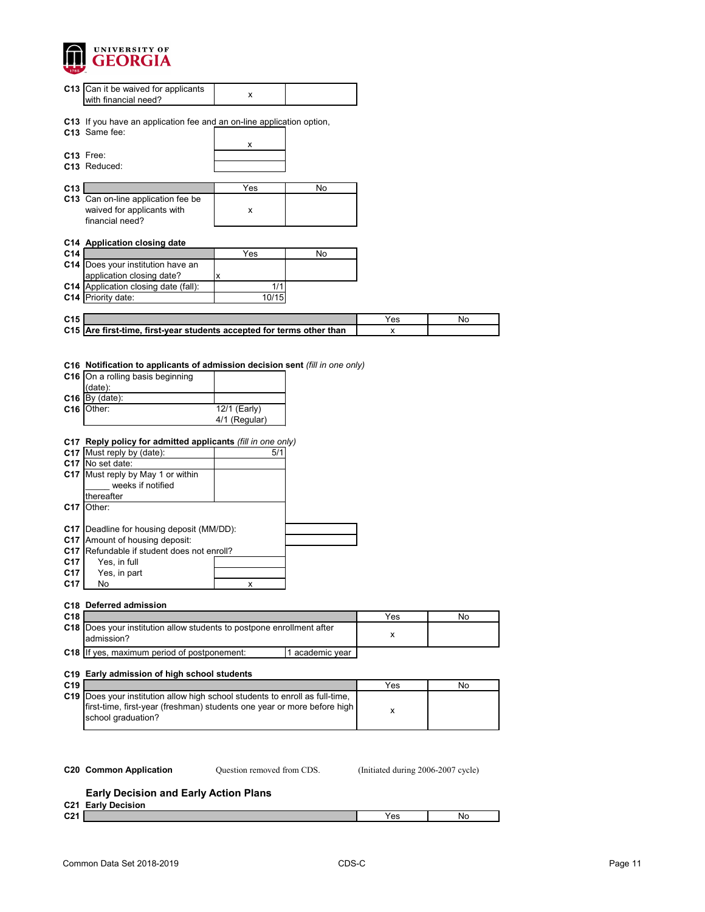

|                                                                            | C13 Can it be waived for applicants<br>with financial need?                                                                                                                                                                                                                                                                                                                                                                                                                                                                  | x                                         |                 |     |    |
|----------------------------------------------------------------------------|------------------------------------------------------------------------------------------------------------------------------------------------------------------------------------------------------------------------------------------------------------------------------------------------------------------------------------------------------------------------------------------------------------------------------------------------------------------------------------------------------------------------------|-------------------------------------------|-----------------|-----|----|
|                                                                            | C13 If you have an application fee and an on-line application option,<br>C13 Same fee:                                                                                                                                                                                                                                                                                                                                                                                                                                       |                                           |                 |     |    |
|                                                                            | C13 Free:<br>C13 Reduced:                                                                                                                                                                                                                                                                                                                                                                                                                                                                                                    | $\pmb{\mathsf{X}}$                        |                 |     |    |
| C13                                                                        |                                                                                                                                                                                                                                                                                                                                                                                                                                                                                                                              | Yes                                       | No              |     |    |
|                                                                            | C13 Can on-line application fee be<br>waived for applicants with<br>financial need?                                                                                                                                                                                                                                                                                                                                                                                                                                          | X                                         |                 |     |    |
| C14                                                                        | C14 Application closing date                                                                                                                                                                                                                                                                                                                                                                                                                                                                                                 | Yes                                       | No              |     |    |
|                                                                            | C14   Does your institution have an<br>application closing date?                                                                                                                                                                                                                                                                                                                                                                                                                                                             | x                                         |                 |     |    |
|                                                                            | C14 Application closing date (fall):<br>C14 Priority date:                                                                                                                                                                                                                                                                                                                                                                                                                                                                   | 1/1<br>10/15                              |                 |     |    |
| C <sub>15</sub>                                                            |                                                                                                                                                                                                                                                                                                                                                                                                                                                                                                                              |                                           |                 | Yes | No |
|                                                                            | C15 Are first-time, first-year students accepted for terms other than                                                                                                                                                                                                                                                                                                                                                                                                                                                        |                                           |                 | x   |    |
|                                                                            |                                                                                                                                                                                                                                                                                                                                                                                                                                                                                                                              |                                           |                 |     |    |
| C <sub>17</sub><br>C <sub>17</sub><br>C <sub>17</sub><br>C17<br>C17<br>C17 | C16 Notification to applicants of admission decision sent (fill in one only)<br>C16 On a rolling basis beginning<br>(data):<br>$C16$ By (date):<br>C16 Other:<br>C17 Reply policy for admitted applicants (fill in one only)<br>C17 Must reply by (date):<br>C17 No set date:<br>C17 Must reply by May 1 or within<br>weeks if notified<br>thereafter<br>Other:<br>C17   Deadline for housing deposit (MM/DD):<br>Amount of housing deposit:<br>Refundable if student does not enroll?<br>Yes, in full<br>Yes, in part<br>No | 12/1 (Early)<br>4/1 (Regular)<br>5/1<br>x |                 |     |    |
| C18                                                                        | C18 Deferred admission                                                                                                                                                                                                                                                                                                                                                                                                                                                                                                       |                                           |                 | Yes | No |
|                                                                            | C18 Does your institution allow students to postpone enrollment after<br>admission?                                                                                                                                                                                                                                                                                                                                                                                                                                          |                                           |                 | x   |    |
|                                                                            | C18 If yes, maximum period of postponement:                                                                                                                                                                                                                                                                                                                                                                                                                                                                                  |                                           | 1 academic year |     |    |
| C19                                                                        | C19 Early admission of high school students                                                                                                                                                                                                                                                                                                                                                                                                                                                                                  |                                           |                 | Yes | No |
|                                                                            | C19   Does your institution allow high school students to enroll as full-time,<br>first-time, first-year (freshman) students one year or more before high<br>school graduation?                                                                                                                                                                                                                                                                                                                                              |                                           |                 | x   |    |
|                                                                            |                                                                                                                                                                                                                                                                                                                                                                                                                                                                                                                              |                                           |                 |     |    |

Question removed from CDS.

**C20 Common Application** Question removed from CDS. (Initiated during 2006-2007 cycle)

# **Early Decision and Early Action Plans**

**C21 Early Decision**

| ດາເ  | $\alpha$ | N |
|------|----------|---|
| ∪∠ . | 153      |   |
|      |          |   |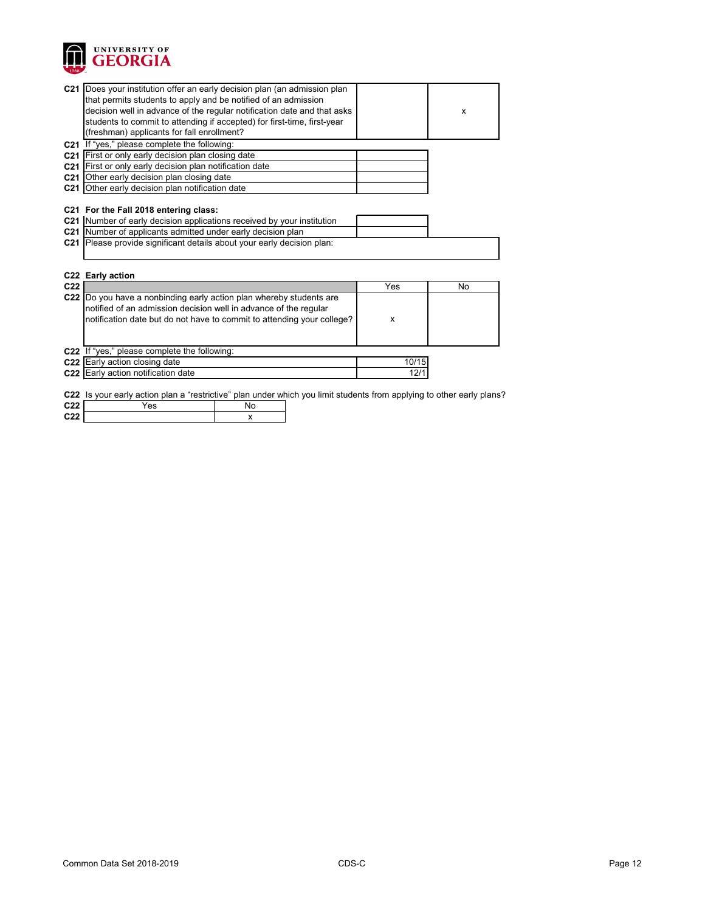

|                                    | C21 Does your institution offer an early decision plan (an admission plan |                                                                                                                       |       |    |
|------------------------------------|---------------------------------------------------------------------------|-----------------------------------------------------------------------------------------------------------------------|-------|----|
|                                    | that permits students to apply and be notified of an admission            |                                                                                                                       |       |    |
|                                    |                                                                           | decision well in advance of the regular notification date and that asks                                               |       | X  |
|                                    | students to commit to attending if accepted) for first-time, first-year   |                                                                                                                       |       |    |
|                                    | (freshman) applicants for fall enrollment?                                |                                                                                                                       |       |    |
|                                    | C21 If "yes," please complete the following:                              |                                                                                                                       |       |    |
|                                    | C21   First or only early decision plan closing date                      |                                                                                                                       |       |    |
|                                    | C21 First or only early decision plan notification date                   |                                                                                                                       |       |    |
|                                    | C21 Other early decision plan closing date                                |                                                                                                                       |       |    |
|                                    | C21 Other early decision plan notification date                           |                                                                                                                       |       |    |
|                                    |                                                                           |                                                                                                                       |       |    |
|                                    | C21 For the Fall 2018 entering class:                                     |                                                                                                                       |       |    |
|                                    | C21 Number of early decision applications received by your institution    |                                                                                                                       |       |    |
|                                    | C21 Number of applicants admitted under early decision plan               |                                                                                                                       |       |    |
|                                    |                                                                           |                                                                                                                       |       |    |
|                                    | C21 Please provide significant details about your early decision plan:    |                                                                                                                       |       |    |
|                                    |                                                                           |                                                                                                                       |       |    |
|                                    |                                                                           |                                                                                                                       |       |    |
|                                    | C22 Early action                                                          |                                                                                                                       |       |    |
| C <sub>22</sub>                    |                                                                           |                                                                                                                       | Yes   | No |
|                                    | C22 Do you have a nonbinding early action plan whereby students are       |                                                                                                                       |       |    |
|                                    | notified of an admission decision well in advance of the regular          |                                                                                                                       |       |    |
|                                    |                                                                           | notification date but do not have to commit to attending your college?                                                | X     |    |
|                                    |                                                                           |                                                                                                                       |       |    |
|                                    |                                                                           |                                                                                                                       |       |    |
|                                    | C22 If "yes," please complete the following:                              |                                                                                                                       |       |    |
|                                    | C22 Early action closing date                                             |                                                                                                                       | 10/15 |    |
|                                    | C22 Early action notification date                                        |                                                                                                                       | 12/1  |    |
|                                    |                                                                           |                                                                                                                       |       |    |
|                                    |                                                                           | C22 Is your early action plan a "restrictive" plan under which you limit students from applying to other early plans? |       |    |
| C <sub>22</sub><br>C <sub>22</sub> | Yes                                                                       | No<br>x                                                                                                               |       |    |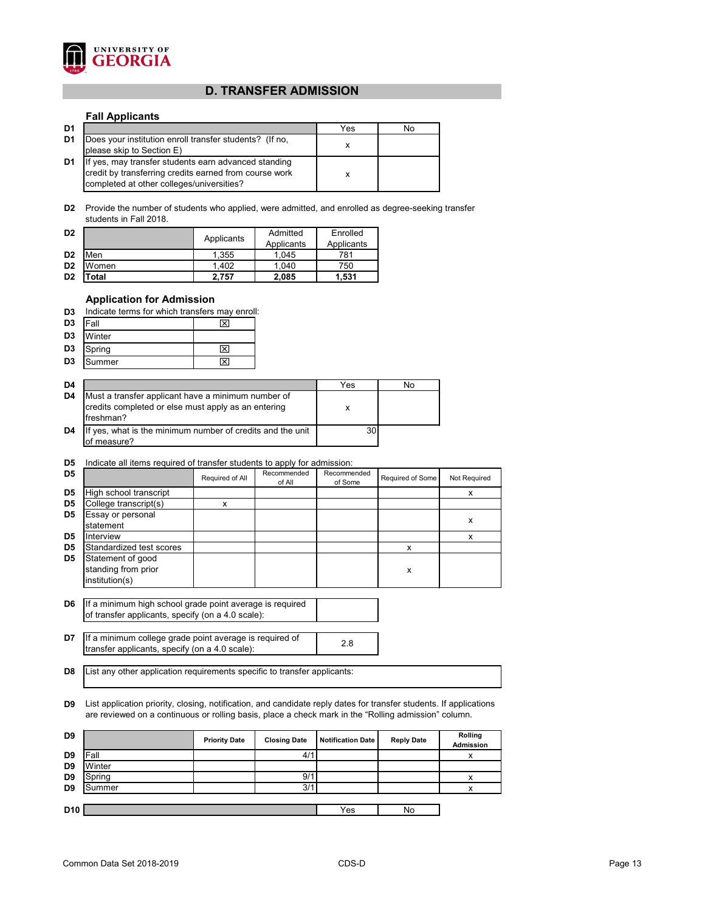

# **D. TRANSFER ADMISSION**

#### **Fall Applicants**

| D1             |                                                                                                                                                             | Yes | No |
|----------------|-------------------------------------------------------------------------------------------------------------------------------------------------------------|-----|----|
| D <sub>1</sub> | Does your institution enroll transfer students? (If no,<br>please skip to Section E)                                                                        |     |    |
| D <sub>1</sub> | If yes, may transfer students earn advanced standing<br>credit by transferring credits earned from course work<br>completed at other colleges/universities? |     |    |

**D2** Provide the number of students who applied, were admitted, and enrolled as degree-seeking transfer students in Fall 2018.

| D <sub>2</sub> |       | Applicants | Admitted<br>Applicants | Enrolled<br>Applicants |  |
|----------------|-------|------------|------------------------|------------------------|--|
| D <sub>2</sub> | Men   | 1,355      | 1.045                  | 781                    |  |
| D <sub>2</sub> | Women | 1.402      | 1.040                  | 750                    |  |
| D <sub>2</sub> | 'otal | 2.757      | 2,085                  | 1,531                  |  |

#### **Application for Admission**

|  |  |  |  |  | <b>D3</b> Indicate terms for which transfers may enroll: |  |  |  |
|--|--|--|--|--|----------------------------------------------------------|--|--|--|
|--|--|--|--|--|----------------------------------------------------------|--|--|--|

| D <sub>3</sub> | Fall   |  |
|----------------|--------|--|
| D <sub>3</sub> | Winter |  |
| D <sub>3</sub> | Spring |  |
| D <sub>3</sub> | Summer |  |

| D4 |                                                                                                                        | Yes | No |
|----|------------------------------------------------------------------------------------------------------------------------|-----|----|
| D4 | Must a transfer applicant have a minimum number of<br>credits completed or else must apply as an entering<br>freshman? | х   |    |
| D4 | If yes, what is the minimum number of credits and the unit<br>of measure?                                              | 30  |    |

### **D5** Indicate all items required of transfer students to apply for admission:

| D <sub>5</sub> |                                                            | Required of All | Recommended<br>of All | Recommended<br>of Some | Required of Some | Not Required |
|----------------|------------------------------------------------------------|-----------------|-----------------------|------------------------|------------------|--------------|
| D <sub>5</sub> | High school transcript                                     |                 |                       |                        |                  |              |
| D <sub>5</sub> | College transcript(s)                                      | x               |                       |                        |                  |              |
| D <sub>5</sub> | Essay or personal<br>statement                             |                 |                       |                        |                  | x            |
| D5             | Interview                                                  |                 |                       |                        |                  | х            |
| D <sub>5</sub> | Standardized test scores                                   |                 |                       |                        | x                |              |
| D <sub>5</sub> | Statement of good<br>standing from prior<br>institution(s) |                 |                       |                        | х                |              |
|                |                                                            |                 |                       |                        |                  |              |

**D6** If a minimum high school grade point average is required of transfer applicants, specify (on a 4.0 scale):

**D7** If a minimum college grade point average is required of <br>trensfer englisents, aposify (ap a 4.0 secle): transfer applicants, specify (on a 4.0 scale):

**D8** List any other application requirements specific to transfer applicants:

**D9** List application priority, closing, notification, and candidate reply dates for transfer students. If applications are reviewed on a continuous or rolling basis, place a check mark in the "Rolling admission" column.

| D <sub>9</sub>  |        | <b>Priority Date</b> | <b>Closing Date</b> | <b>Notification Date</b> | <b>Reply Date</b> | Rolling<br>Admission |
|-----------------|--------|----------------------|---------------------|--------------------------|-------------------|----------------------|
| D <sub>9</sub>  | IFall  |                      | 4/1                 |                          |                   |                      |
| D <sub>9</sub>  | Winter |                      |                     |                          |                   |                      |
| D <sub>9</sub>  | Spring |                      | 9/1                 |                          |                   | v                    |
| D <sub>9</sub>  | Summer |                      | 3/1                 |                          |                   | v                    |
|                 |        |                      |                     |                          |                   |                      |
| D <sub>10</sub> |        |                      |                     | Yes                      | No                |                      |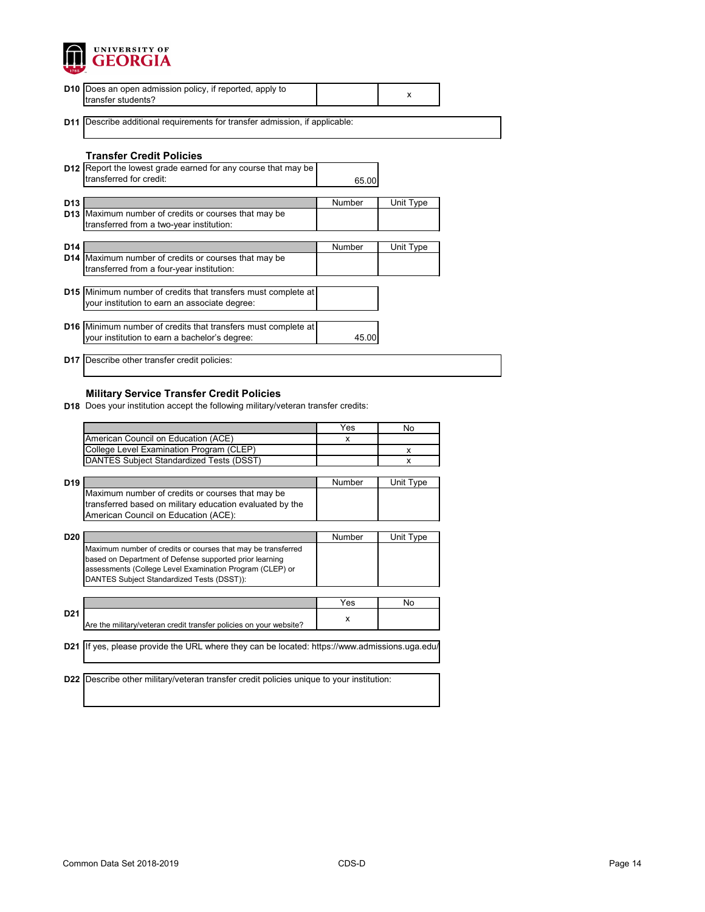

| <b>D10</b> Does an open admission policy, if reported, apply to<br>transfer students?                                      |               | X         |
|----------------------------------------------------------------------------------------------------------------------------|---------------|-----------|
| <b>D11</b> Describe additional requirements for transfer admission, if applicable:                                         |               |           |
| <b>Transfer Credit Policies</b>                                                                                            |               |           |
| <b>D12</b> Report the lowest grade earned for any course that may be<br>transferred for credit:                            | 65.00         |           |
| D <sub>13</sub><br><b>D13</b> Maximum number of credits or courses that may be<br>transferred from a two-year institution: | Number        | Unit Type |
| D <sub>14</sub>                                                                                                            | <b>Number</b> | Unit Type |
| D14   Maximum number of credits or courses that may be<br>transferred from a four-year institution:                        |               |           |
| D15 Minimum number of credits that transfers must complete at<br>your institution to earn an associate degree:             |               |           |
| <b>D16</b> Minimum number of credits that transfers must complete at<br>your institution to earn a bachelor's degree:      | 45.00         |           |
| Describe other transfer credit policies:<br>D17                                                                            |               |           |

## **Military Service Transfer Credit Policies**

**D18** Does your institution accept the following military/veteran transfer credits:

|                 |                                                                                           | Yes    | No             |
|-----------------|-------------------------------------------------------------------------------------------|--------|----------------|
|                 | American Council on Education (ACE)                                                       | X      |                |
|                 | College Level Examination Program (CLEP)                                                  |        | x              |
|                 | DANTES Subject Standardized Tests (DSST)                                                  |        | x              |
|                 |                                                                                           |        |                |
| D <sub>19</sub> |                                                                                           | Number | Unit Type      |
|                 | Maximum number of credits or courses that may be                                          |        |                |
|                 | transferred based on military education evaluated by the                                  |        |                |
|                 | American Council on Education (ACE):                                                      |        |                |
|                 |                                                                                           |        |                |
| <b>D20</b>      |                                                                                           | Number | Unit Type      |
|                 | Maximum number of credits or courses that may be transferred                              |        |                |
|                 | based on Department of Defense supported prior learning                                   |        |                |
|                 | assessments (College Level Examination Program (CLEP) or                                  |        |                |
|                 | DANTES Subject Standardized Tests (DSST)):                                                |        |                |
|                 |                                                                                           |        |                |
|                 |                                                                                           | Yes    | N <sub>0</sub> |
| D <sub>21</sub> |                                                                                           | x      |                |
|                 | Are the military/veteran credit transfer policies on your website?                        |        |                |
|                 |                                                                                           |        |                |
| D <sub>21</sub> | If yes, please provide the URL where they can be located: https://www.admissions.uga.edu/ |        |                |
|                 |                                                                                           |        |                |
|                 |                                                                                           |        |                |
| D <sub>22</sub> | Describe other military/veteran transfer credit policies unique to your institution:      |        |                |
|                 |                                                                                           |        |                |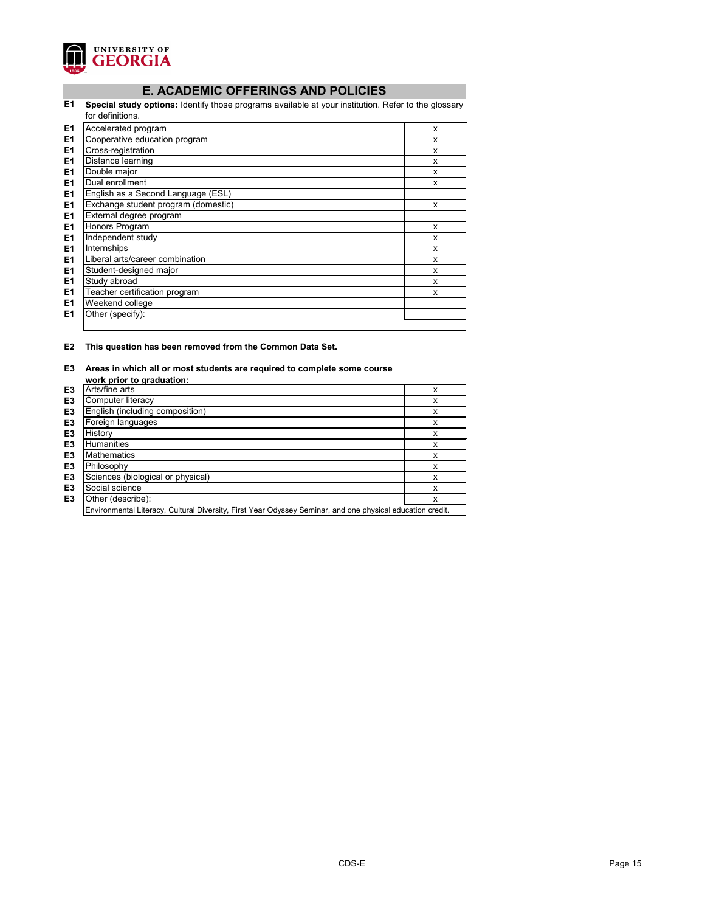

# **E. ACADEMIC OFFERINGS AND POLICIES**

**E1 Special study options:** Identify those programs available at your institution. Refer to the glossary for definitions.

|    | טו עסוווווווווווווווווווווווווווווו |   |
|----|-------------------------------------|---|
| E1 | Accelerated program                 | X |
| E1 | Cooperative education program       | x |
| E1 | Cross-registration                  | X |
| E1 | Distance learning                   | X |
| E1 | Double major                        | X |
| E1 | Dual enrollment                     | X |
| E1 | English as a Second Language (ESL)  |   |
| E1 | Exchange student program (domestic) | X |
| E1 | External degree program             |   |
| E1 | Honors Program                      | X |
| E1 | Independent study                   | X |
| E1 | Internships                         | X |
| E1 | Liberal arts/career combination     | X |
| E1 | Student-designed major              | X |
| E1 | Study abroad                        | X |
| E1 | Teacher certification program       | X |
| E1 | Weekend college                     |   |
| E1 | Other (specify):                    |   |
|    |                                     |   |

**E2 This question has been removed from the Common Data Set.**

#### **E3 Areas in which all or most students are required to complete some course**

|                | work prior to graduation:                                                                                  |   |
|----------------|------------------------------------------------------------------------------------------------------------|---|
| E <sub>3</sub> | Arts/fine arts                                                                                             | x |
| E <sub>3</sub> | Computer literacy                                                                                          | x |
| E <sub>3</sub> | English (including composition)                                                                            | x |
| E <sub>3</sub> | Foreign languages                                                                                          | х |
| E <sub>3</sub> | History                                                                                                    | х |
| E <sub>3</sub> | <b>Humanities</b>                                                                                          | x |
| E <sub>3</sub> | <b>Mathematics</b>                                                                                         | x |
| E <sub>3</sub> | Philosophy                                                                                                 | X |
| E <sub>3</sub> | Sciences (biological or physical)                                                                          | x |
| E <sub>3</sub> | Social science                                                                                             | x |
| E <sub>3</sub> | Other (describe):                                                                                          | x |
|                | Environmental Literacy, Cultural Diversity, First Year Odyssey Seminar, and one physical education credit. |   |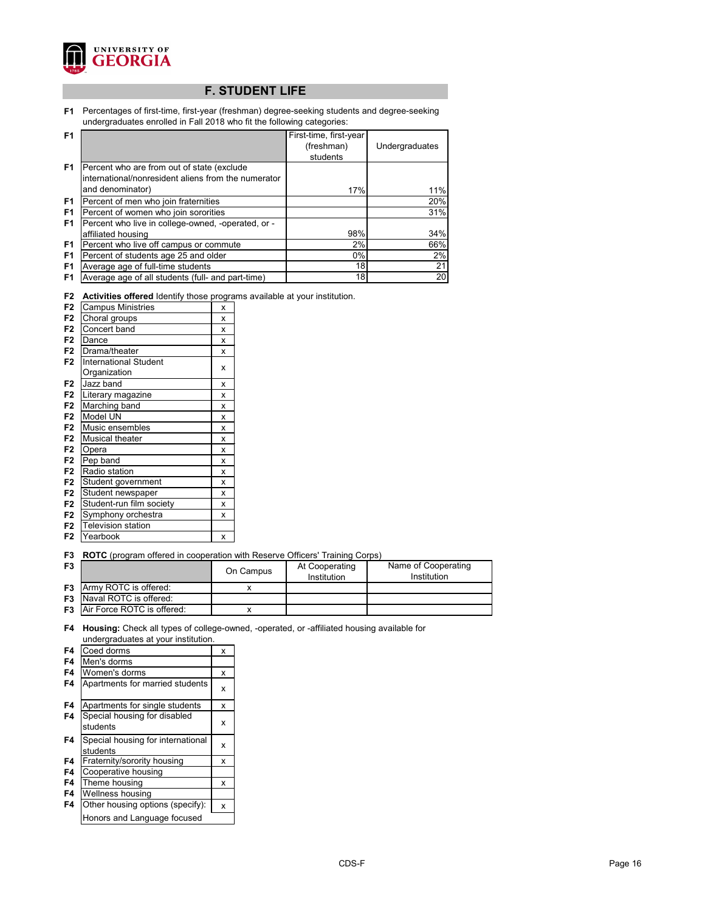

# **F. STUDENT LIFE**

**F1** Percentages of first-time, first-year (freshman) degree-seeking students and degree-seeking undergraduates enrolled in Fall 2018 who fit the following categories:

| F <sub>1</sub> |                                                     | First-time, first-year |                 |
|----------------|-----------------------------------------------------|------------------------|-----------------|
|                |                                                     | (freshman)             | Undergraduates  |
|                |                                                     | students               |                 |
| F <sub>1</sub> | Percent who are from out of state (exclude          |                        |                 |
|                | international/nonresident aliens from the numerator |                        |                 |
|                | and denominator)                                    | 17%                    | 11%             |
| F <sub>1</sub> | Percent of men who join fraternities                |                        | 20%             |
| F <sub>1</sub> | Percent of women who join sororities                |                        | 31%             |
| F <sub>1</sub> | Percent who live in college-owned, -operated, or -  |                        |                 |
|                | affiliated housing                                  | 98%                    | 34%             |
| F <sub>1</sub> | Percent who live off campus or commute              | 2%                     | 66%             |
| F <sub>1</sub> | Percent of students age 25 and older                | 0%                     | 2%              |
| F <sub>1</sub> | Average age of full-time students                   | 18                     | 21              |
| F <sub>1</sub> | Average age of all students (full- and part-time)   | 18                     | 20 <sub>l</sub> |

|  |  |  |  |  |  | F2 Activities offered Identify those programs available at your institution. |
|--|--|--|--|--|--|------------------------------------------------------------------------------|
|--|--|--|--|--|--|------------------------------------------------------------------------------|

|                |                              | J |
|----------------|------------------------------|---|
| F <sub>2</sub> | <b>Campus Ministries</b>     | X |
| F <sub>2</sub> | Choral groups                | X |
| F <sub>2</sub> | Concert band                 | x |
| F <sub>2</sub> | Dance                        | x |
| F <sub>2</sub> | Drama/theater                | X |
| F <sub>2</sub> | <b>International Student</b> |   |
|                | Organization                 | X |
| F <sub>2</sub> | Jazz band                    | x |
| F <sub>2</sub> | Literary magazine            | x |
| F <sub>2</sub> | Marching band                | X |
| F <sub>2</sub> | Model UN                     | x |
| F <sub>2</sub> | Music ensembles              | X |
| F <sub>2</sub> | <b>Musical theater</b>       | X |
| F <sub>2</sub> | Opera                        | x |
| F <sub>2</sub> | Pep band                     | x |
| F <sub>2</sub> | Radio station                | x |
| F <sub>2</sub> | Student government           | x |
| F <sub>2</sub> | Student newspaper            | X |
| F <sub>2</sub> | Student-run film society     | x |
| F <sub>2</sub> | Symphony orchestra           | x |
| F <sub>2</sub> | <b>Television station</b>    |   |
| F2             | Yearbook                     | X |

**F3 ROTC** (program offered in cooperation with Reserve Officers' Training Corps)

| F <sub>3</sub> |                                      | On Campus | At Cooperating<br>Institution | Name of Cooperating<br>Institution |
|----------------|--------------------------------------|-----------|-------------------------------|------------------------------------|
|                | <b>F3</b> Army ROTC is offered:      |           |                               |                                    |
|                | <b>F3</b> Naval ROTC is offered:     |           |                               |                                    |
|                | <b>F3</b> Air Force ROTC is offered: |           |                               |                                    |

**F4 Housing:** Check all types of college-owned, -operated, or -affiliated housing available for undergraduates at your institution.

| F4 | Coed dorms                                    | X |
|----|-----------------------------------------------|---|
| F4 | Men's dorms                                   |   |
| F4 | Women's dorms                                 | x |
| F4 | Apartments for married students               | x |
| F4 | Apartments for single students                | x |
| F4 | Special housing for disabled<br>students      | x |
| F4 | Special housing for international<br>students | x |
| F4 | Fraternity/sorority housing                   | x |
| F4 | Cooperative housing                           |   |
| F4 | Theme housing                                 | x |
| F4 | Wellness housing                              |   |
| F4 | Other housing options (specify):              | x |
|    | Honors and Language focused                   |   |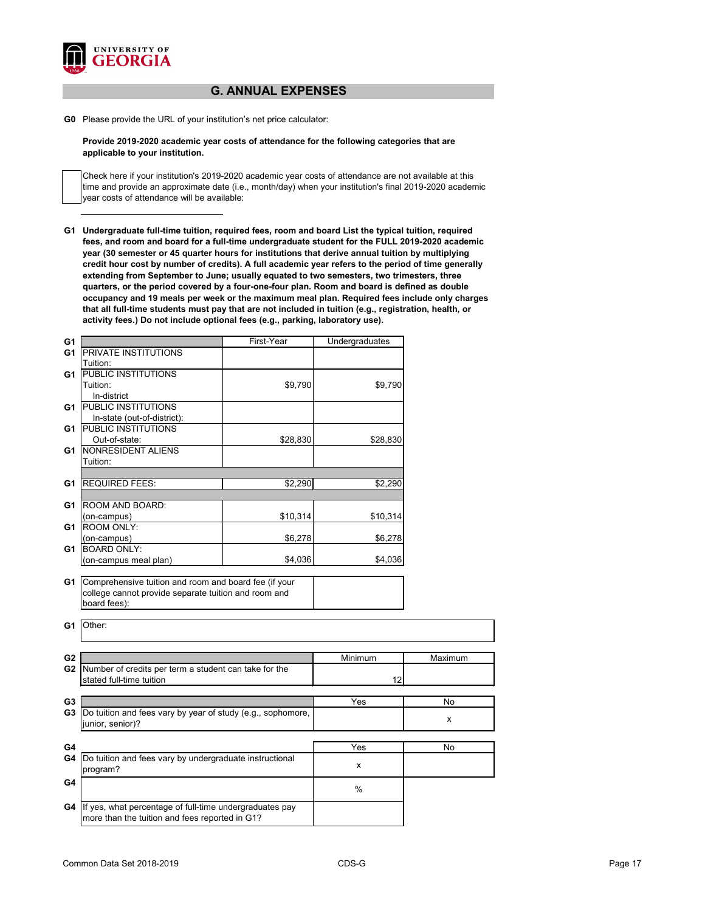

# **G. ANNUAL EXPENSES**

**G0** Please provide the URL of your institution's net price calculator:

**Provide 2019-2020 academic year costs of attendance for the following categories that are applicable to your institution.**

Check here if your institution's 2019-2020 academic year costs of attendance are not available at this time and provide an approximate date (i.e., month/day) when your institution's final 2019-2020 academic year costs of attendance will be available:

**G1 Undergraduate full-time tuition, required fees, room and board List the typical tuition, required fees, and room and board for a full-time undergraduate student for the FULL 2019-2020 academic year (30 semester or 45 quarter hours for institutions that derive annual tuition by multiplying credit hour cost by number of credits). A full academic year refers to the period of time generally extending from September to June; usually equated to two semesters, two trimesters, three quarters, or the period covered by a four-one-four plan. Room and board is defined as double occupancy and 19 meals per week or the maximum meal plan. Required fees include only charges that all full-time students must pay that are not included in tuition (e.g., registration, health, or activity fees.) Do not include optional fees (e.g., parking, laboratory use).**

| G <sub>1</sub> |                                                                                                           | First-Year | Undergraduates |         |
|----------------|-----------------------------------------------------------------------------------------------------------|------------|----------------|---------|
| G <sub>1</sub> | PRIVATE INSTITUTIONS                                                                                      |            |                |         |
|                | Tuition:                                                                                                  |            |                |         |
| G <sub>1</sub> | <b>PUBLIC INSTITUTIONS</b>                                                                                |            |                |         |
|                | Tuition:                                                                                                  | \$9,790    | \$9,790        |         |
|                | In-district                                                                                               |            |                |         |
| G1             | PUBLIC INSTITUTIONS                                                                                       |            |                |         |
|                | In-state (out-of-district):                                                                               |            |                |         |
| G1             | PUBLIC INSTITUTIONS                                                                                       |            |                |         |
|                | Out-of-state:                                                                                             | \$28,830   | \$28,830       |         |
| G1             | NONRESIDENT ALIENS                                                                                        |            |                |         |
|                | Tuition:                                                                                                  |            |                |         |
|                |                                                                                                           |            |                |         |
| G <sub>1</sub> | <b>REQUIRED FEES:</b>                                                                                     | \$2,290    | \$2,290        |         |
|                |                                                                                                           |            |                |         |
| G <sub>1</sub> | ROOM AND BOARD:                                                                                           |            |                |         |
|                | (on-campus)                                                                                               | \$10,314   | \$10,314       |         |
| G1             | <b>ROOM ONLY:</b>                                                                                         |            |                |         |
|                | (on-campus)                                                                                               | \$6,278    | \$6,278        |         |
| G <sub>1</sub> | <b>BOARD ONLY:</b>                                                                                        |            |                |         |
|                | (on-campus meal plan)                                                                                     | \$4,036    | \$4,036        |         |
| G <sub>1</sub> | college cannot provide separate tuition and room and<br>board fees):<br>Other:                            |            |                |         |
| G <sub>2</sub> |                                                                                                           |            | Minimum        | Maximum |
| G <sub>2</sub> | Number of credits per term a student can take for the                                                     |            |                |         |
|                | stated full-time tuition                                                                                  |            | 12             |         |
| G <sub>3</sub> |                                                                                                           |            | Yes            | No      |
| G <sub>3</sub> | Do tuition and fees vary by year of study (e.g., sophomore,<br>junior, senior)?                           |            |                | X       |
| G4             |                                                                                                           |            | Yes            | No      |
| G4             | Do tuition and fees vary by undergraduate instructional                                                   |            | X              |         |
| G4             | program?                                                                                                  |            |                |         |
|                |                                                                                                           |            | $\%$           |         |
| G4             | If yes, what percentage of full-time undergraduates pay<br>more than the tuition and fees reported in G1? |            |                |         |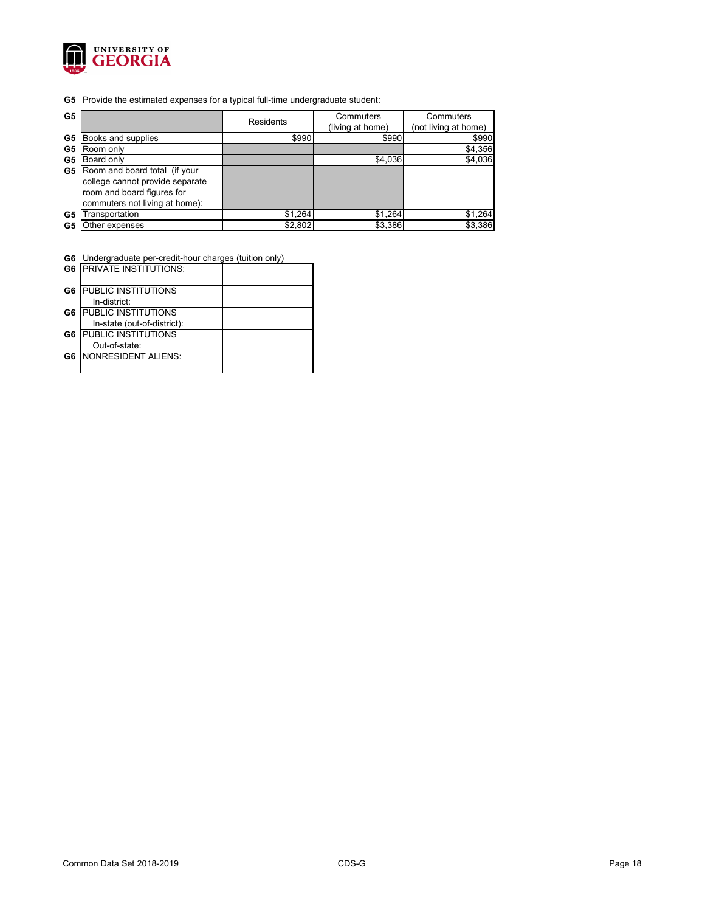

**G5** Provide the estimated expenses for a typical full-time undergraduate student:

| G <sub>5</sub> |                                                                                                                                  | Residents | Commuters<br>(living at home) | Commuters<br>(not living at home) |
|----------------|----------------------------------------------------------------------------------------------------------------------------------|-----------|-------------------------------|-----------------------------------|
| G5             | Books and supplies                                                                                                               | \$990     | \$990                         | \$990                             |
| G5             | Room only                                                                                                                        |           |                               | \$4,356                           |
| G5             | Board only                                                                                                                       |           | \$4,036                       | \$4,036                           |
| G5             | Room and board total (if your<br>college cannot provide separate<br>room and board figures for<br>commuters not living at home): |           |                               |                                   |
| G5             | ransportation                                                                                                                    | \$1,264   | \$1,264                       | \$1,264                           |
| G5             | Other expenses                                                                                                                   | \$2,802   | \$3,386                       | \$3,386                           |

**G6** Undergraduate per-credit-hour charges (tuition only)

|    | <b>G6 IPRIVATE INSTITUTIONS:</b> |  |
|----|----------------------------------|--|
| G6 | <b>PUBLIC INSTITUTIONS</b>       |  |
|    | In-district:                     |  |
| G6 | <b>PUBLIC INSTITUTIONS</b>       |  |
|    | In-state (out-of-district):      |  |
| G6 | <b>PUBLIC INSTITUTIONS</b>       |  |
|    | Out-of-state:                    |  |
| G6 | NONRESIDENT ALIENS:              |  |
|    |                                  |  |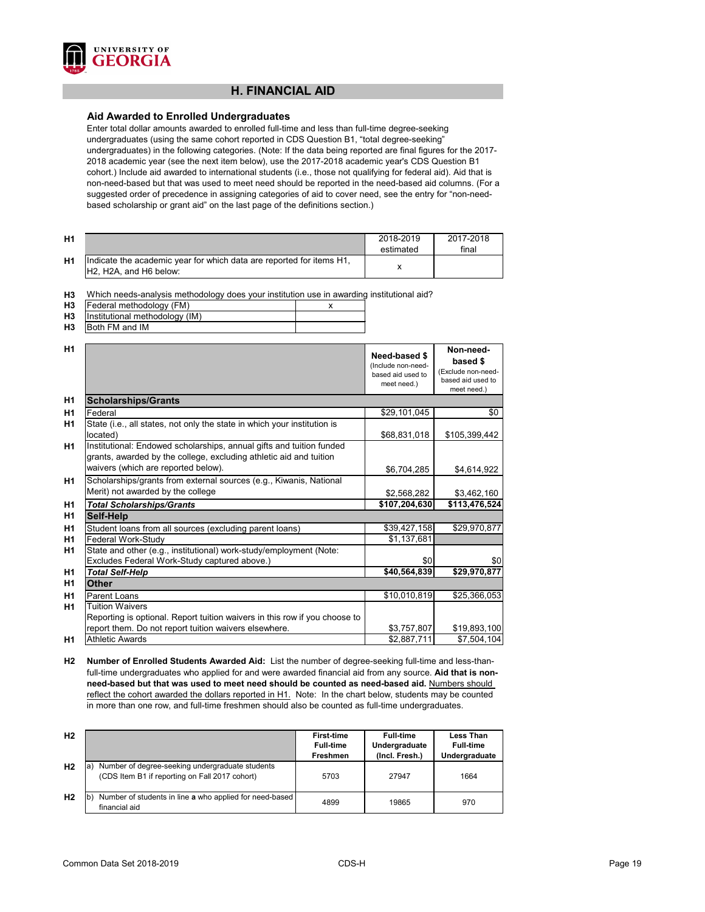

# **H. FINANCIAL AID**

#### **Aid Awarded to Enrolled Undergraduates**

Enter total dollar amounts awarded to enrolled full-time and less than full-time degree-seeking undergraduates (using the same cohort reported in CDS Question B1, "total degree-seeking" undergraduates) in the following categories. (Note: If the data being reported are final figures for the 2017- 2018 academic year (see the next item below), use the 2017-2018 academic year's CDS Question B1 cohort.) Include aid awarded to international students (i.e., those not qualifying for federal aid). Aid that is non-need-based but that was used to meet need should be reported in the need-based aid columns. (For a suggested order of precedence in assigning categories of aid to cover need, see the entry for "non-needbased scholarship or grant aid" on the last page of the definitions section.)

| <b>H1</b> |                                                                                                                                      | 2018-2019<br>estimated | 2017-2018<br>final |
|-----------|--------------------------------------------------------------------------------------------------------------------------------------|------------------------|--------------------|
| <b>H1</b> | Indicate the academic year for which data are reported for items H1,<br>H <sub>2</sub> , H <sub>2</sub> A, and H <sub>6</sub> below: |                        |                    |

**H3** Which needs-analysis methodology does your institution use in awarding institutional aid?

| <b>H3</b> | Federal methodology (FM)                 |  |
|-----------|------------------------------------------|--|
|           | <b>H3</b> Institutional methodology (IM) |  |
| <b>H3</b> | <b>IBoth FM and IM</b>                   |  |

| H1             |                                                                                                                                                                                   | Need-based \$<br>(Include non-need-<br>based aid used to<br>meet need.) | Non-need-<br>based \$<br>(Exclude non-need-<br>based aid used to<br>meet need.) |
|----------------|-----------------------------------------------------------------------------------------------------------------------------------------------------------------------------------|-------------------------------------------------------------------------|---------------------------------------------------------------------------------|
| H1             | <b>Scholarships/Grants</b>                                                                                                                                                        |                                                                         |                                                                                 |
| H1             | Federal                                                                                                                                                                           | \$29,101,045                                                            | \$0                                                                             |
| H1             | State (i.e., all states, not only the state in which your institution is<br>located)                                                                                              | \$68,831,018                                                            | \$105,399,442                                                                   |
| H1             | Institutional: Endowed scholarships, annual gifts and tuition funded<br>grants, awarded by the college, excluding athletic aid and tuition<br>waivers (which are reported below). | \$6,704,285                                                             | \$4,614,922                                                                     |
| H1             | Scholarships/grants from external sources (e.g., Kiwanis, National<br>Merit) not awarded by the college                                                                           | \$2,568,282                                                             | \$3,462,160                                                                     |
| H <sub>1</sub> | <b>Total Scholarships/Grants</b>                                                                                                                                                  | \$107,204,630                                                           | \$113,476,524                                                                   |
| H <sub>1</sub> | <b>Self-Help</b>                                                                                                                                                                  |                                                                         |                                                                                 |
| H <sub>1</sub> | Student loans from all sources (excluding parent loans)                                                                                                                           | \$39,427,158                                                            | \$29,970,877                                                                    |
| H1             | <b>Federal Work-Study</b>                                                                                                                                                         | \$1,137,681                                                             |                                                                                 |
| H1             | State and other (e.g., institutional) work-study/employment (Note:                                                                                                                |                                                                         |                                                                                 |
|                | Excludes Federal Work-Study captured above.)                                                                                                                                      | \$0                                                                     | \$0                                                                             |
| H <sub>1</sub> | <b>Total Self-Help</b>                                                                                                                                                            | \$40,564,839                                                            | \$29,970,877                                                                    |
| H1             | <b>Other</b>                                                                                                                                                                      |                                                                         |                                                                                 |
| H1             | <b>Parent Loans</b>                                                                                                                                                               | \$10,010,819                                                            | \$25,366,053                                                                    |
| <b>H1</b>      | <b>Tuition Waivers</b>                                                                                                                                                            |                                                                         |                                                                                 |
|                | Reporting is optional. Report tuition waivers in this row if you choose to                                                                                                        |                                                                         |                                                                                 |
|                | report them. Do not report tuition waivers elsewhere.                                                                                                                             | \$3,757,807                                                             | \$19,893,100                                                                    |
| H1             | <b>Athletic Awards</b>                                                                                                                                                            | \$2,887,711                                                             | \$7,504,104                                                                     |

**H2 Number of Enrolled Students Awarded Aid:** List the number of degree-seeking full-time and less-thanfull-time undergraduates who applied for and were awarded financial aid from any source. **Aid that is nonneed-based but that was used to meet need should be counted as need-based aid.** Numbers should reflect the cohort awarded the dollars reported in H1. Note: In the chart below, students may be counted in more than one row, and full-time freshmen should also be counted as full-time undergraduates.

| H <sub>2</sub> |                                                                                                   | <b>First-time</b><br><b>Full-time</b><br><b>Freshmen</b> | <b>Full-time</b><br>Undergraduate<br>(Incl. Fresh.) | <b>Less Than</b><br><b>Full-time</b><br>Undergraduate |
|----------------|---------------------------------------------------------------------------------------------------|----------------------------------------------------------|-----------------------------------------------------|-------------------------------------------------------|
| H <sub>2</sub> | Number of degree-seeking undergraduate students<br>(CDS Item B1 if reporting on Fall 2017 cohort) | 5703                                                     | 27947                                               | 1664                                                  |
| H <sub>2</sub> | Number of students in line a who applied for need-based<br>financial aid                          | 4899                                                     | 19865                                               | 970                                                   |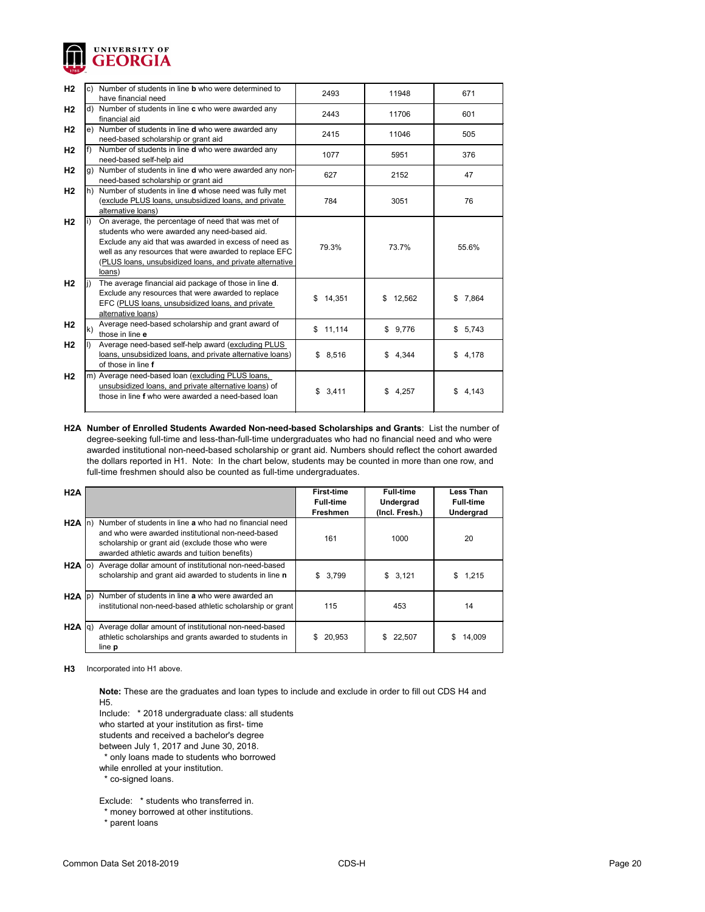

| H <sub>2</sub> |     | Number of students in line <b>b</b> who were determined to<br>have financial need                                                                                                                                                                                                            | 2493         | 11948        | 671         |
|----------------|-----|----------------------------------------------------------------------------------------------------------------------------------------------------------------------------------------------------------------------------------------------------------------------------------------------|--------------|--------------|-------------|
| H <sub>2</sub> | d)  | Number of students in line c who were awarded any<br>financial aid                                                                                                                                                                                                                           | 2443         | 11706        | 601         |
| H <sub>2</sub> | le) | Number of students in line d who were awarded any<br>need-based scholarship or grant aid                                                                                                                                                                                                     | 2415         | 11046        | 505         |
| H <sub>2</sub> |     | Number of students in line d who were awarded any<br>need-based self-help aid                                                                                                                                                                                                                | 1077         | 5951         | 376         |
| H <sub>2</sub> | g)  | Number of students in line d who were awarded any non-<br>need-based scholarship or grant aid                                                                                                                                                                                                | 627          | 2152         | 47          |
| H <sub>2</sub> | lh) | Number of students in line d whose need was fully met<br>(exclude PLUS loans, unsubsidized loans, and private<br>alternative loans)                                                                                                                                                          | 784          | 3051         | 76          |
| H <sub>2</sub> |     | On average, the percentage of need that was met of<br>students who were awarded any need-based aid.<br>Exclude any aid that was awarded in excess of need as<br>well as any resources that were awarded to replace EFC<br>(PLUS loans, unsubsidized loans, and private alternative<br>loans) | 79.3%        | 73.7%        | 55.6%       |
| H2             |     | The average financial aid package of those in line d.<br>Exclude any resources that were awarded to replace<br>EFC (PLUS loans, unsubsidized loans, and private<br>alternative loans)                                                                                                        | \$<br>14,351 | 12,562<br>\$ | 7,864<br>\$ |
| H <sub>2</sub> | k)  | Average need-based scholarship and grant award of<br>those in line e                                                                                                                                                                                                                         | \$11,114     | \$9,776      | \$5,743     |
| H <sub>2</sub> |     | Average need-based self-help award (excluding PLUS<br>loans, unsubsidized loans, and private alternative loans)<br>of those in line f                                                                                                                                                        | 8,516<br>\$  | \$4,344      | 4,178<br>\$ |
| H <sub>2</sub> |     | m) Average need-based loan (excluding PLUS loans,<br>unsubsidized loans, and private alternative loans) of<br>those in line f who were awarded a need-based loan                                                                                                                             | \$<br>3,411  | \$<br>4,257  | 4,143<br>\$ |

**H2A Number of Enrolled Students Awarded Non-need-based Scholarships and Grants**: List the number of degree-seeking full-time and less-than-full-time undergraduates who had no financial need and who were awarded institutional non-need-based scholarship or grant aid. Numbers should reflect the cohort awarded the dollars reported in H1. Note: In the chart below, students may be counted in more than one row, and full-time freshmen should also be counted as full-time undergraduates.

| H2A               |                                                                                                                                                                                                                  | <b>First-time</b><br><b>Full-time</b><br><b>Freshmen</b> | <b>Full-time</b><br>Undergrad<br>(Incl. Fresh.) | <b>Less Than</b><br><b>Full-time</b><br><b>Undergrad</b> |
|-------------------|------------------------------------------------------------------------------------------------------------------------------------------------------------------------------------------------------------------|----------------------------------------------------------|-------------------------------------------------|----------------------------------------------------------|
| $H2A \ln$         | Number of students in line a who had no financial need<br>and who were awarded institutional non-need-based<br>scholarship or grant aid (exclude those who were<br>awarded athletic awards and tuition benefits) | 161                                                      | 1000                                            | 20                                                       |
|                   | H2A o) Average dollar amount of institutional non-need-based<br>scholarship and grant aid awarded to students in line n                                                                                          | \$3,799                                                  | \$3,121                                         | 1,215<br>\$                                              |
| $H2A$ $ p\rangle$ | Number of students in line <b>a</b> who were awarded an<br>institutional non-need-based athletic scholarship or grant                                                                                            | 115                                                      | 453                                             | 14                                                       |
| $H2A$ $ q\rangle$ | Average dollar amount of institutional non-need-based<br>athletic scholarships and grants awarded to students in<br>line p                                                                                       | 20,953                                                   | 22,507<br>\$                                    | S<br>14,009                                              |

**H3** Incorporated into H1 above.

**Note:** These are the graduates and loan types to include and exclude in order to fill out CDS H4 and H5.

Include: \* 2018 undergraduate class: all students

who started at your institution as first- time

students and received a bachelor's degree

between July 1, 2017 and June 30, 2018.

\* only loans made to students who borrowed

while enrolled at your institution.

\* co-signed loans.

Exclude: \* students who transferred in.

\* money borrowed at other institutions.

\* parent loans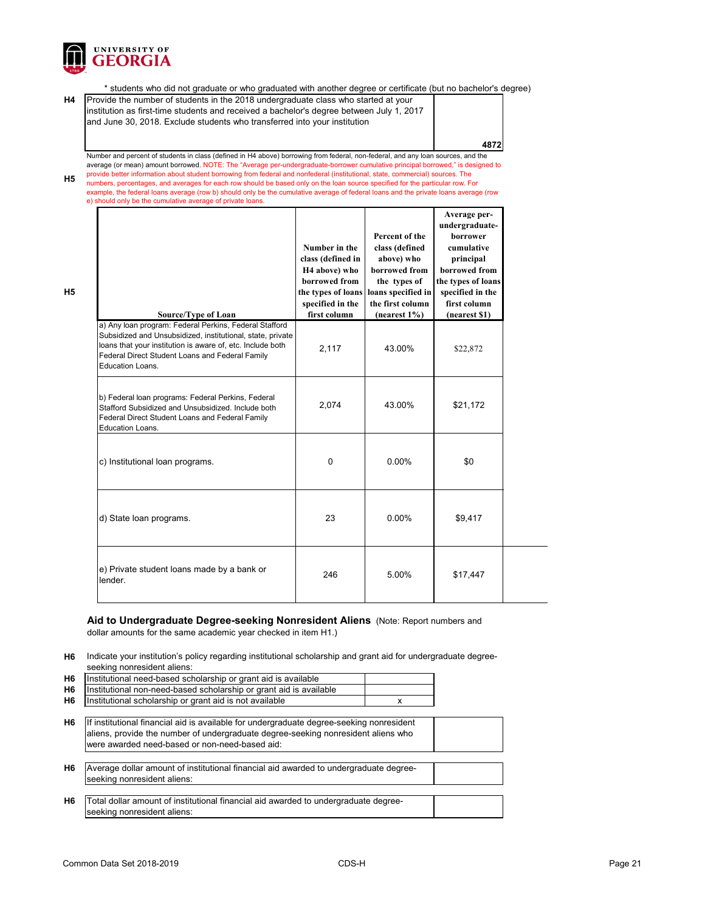

**H5**

**H5**

\* students who did not graduate or who graduated with another degree or certificate (but no bachelor's degree)

**H4** Provide the number of students in the 2018 undergraduate class who started at your institution as first-time students and received a bachelor's degree between July 1, 2017 and June 30, 2018. Exclude students who transferred into your institution

**4872**

Number and percent of students in class (defined in H4 above) borrowing from federal, non-federal, and any loan sources, and the average (or mean) amount borrowed. NOTE: The "Average per-undergraduate-borrower cumulative principal borrowed," is designed to provide better information about student borrowing from federal and nonfederal (institutional, state, commercial) sources. The numbers, percentages, and averages for each row should be based only on the loan source specified for the particular row. For example, the federal loans average (row b) should only be the cumulative average of federal loans and the private loans average (row

e) should only be the cumulative average of private loans.

| <b>Source/Type of Loan</b>                                                                                                                                                                                                                                       | Number in the<br>class (defined in<br>H <sub>4</sub> above) who<br>borrowed from<br>the types of loans<br>specified in the<br>first column | Percent of the<br>class (defined<br>above) who<br>borrowed from<br>the types of<br>loans specified in<br>the first column<br>(nearest $1\%$ ) | Average per-<br>undergraduate-<br>borrower<br>cumulative<br>principal<br>borrowed from<br>the types of loans<br>specified in the<br>first column<br>(nearest \$1) |
|------------------------------------------------------------------------------------------------------------------------------------------------------------------------------------------------------------------------------------------------------------------|--------------------------------------------------------------------------------------------------------------------------------------------|-----------------------------------------------------------------------------------------------------------------------------------------------|-------------------------------------------------------------------------------------------------------------------------------------------------------------------|
| a) Any loan program: Federal Perkins, Federal Stafford<br>Subsidized and Unsubsidized, institutional, state, private<br>loans that your institution is aware of, etc. Include both<br>Federal Direct Student Loans and Federal Family<br><b>Education Loans.</b> | 2,117                                                                                                                                      | 43.00%                                                                                                                                        | \$22,872                                                                                                                                                          |
| b) Federal loan programs: Federal Perkins, Federal<br>Stafford Subsidized and Unsubsidized. Include both<br>Federal Direct Student Loans and Federal Family<br><b>Education Loans.</b>                                                                           | 2,074                                                                                                                                      | 43.00%                                                                                                                                        | \$21,172                                                                                                                                                          |
| c) Institutional loan programs.                                                                                                                                                                                                                                  | 0                                                                                                                                          | 0.00%                                                                                                                                         | \$0                                                                                                                                                               |
| d) State loan programs.                                                                                                                                                                                                                                          | 23                                                                                                                                         | 0.00%                                                                                                                                         | \$9,417                                                                                                                                                           |
| e) Private student loans made by a bank or<br>lender.                                                                                                                                                                                                            | 246                                                                                                                                        | 5.00%                                                                                                                                         | \$17,447                                                                                                                                                          |

#### **Aid to Undergraduate Degree-seeking Nonresident Aliens** (Note: Report numbers and dollar amounts for the same academic year checked in item H1.)

**H6** Indicate your institution's policy regarding institutional scholarship and grant aid for undergraduate degreeseeking nonresident aliens:

| H6 Institutional need-based scholarship or grant aid is available     |  |
|-----------------------------------------------------------------------|--|
| H6 Institutional non-need-based scholarship or grant aid is available |  |
| H6  Institutional scholarship or grant aid is not available           |  |

- **H6** If institutional financial aid is available for undergraduate degree-seeking nonresident aliens, provide the number of undergraduate degree-seeking nonresident aliens who were awarded need-based or non-need-based aid:
- **H6** Average dollar amount of institutional financial aid awarded to undergraduate degreeseeking nonresident aliens:
- **H6** Total dollar amount of institutional financial aid awarded to undergraduate degreeseeking nonresident aliens: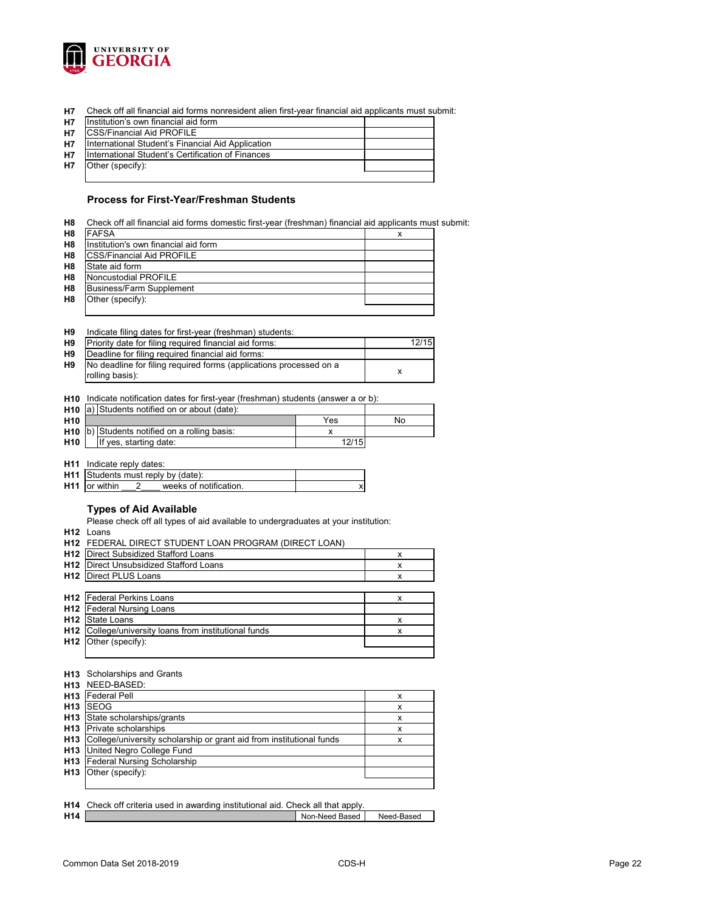

**H7** Check off all financial aid forms nonresident alien first-year financial aid applicants must submit:

| <b>H7</b> | Institution's own financial aid form              |  |
|-----------|---------------------------------------------------|--|
| <b>H7</b> | <b>CSS/Financial Aid PROFILE</b>                  |  |
| <b>H7</b> | International Student's Financial Aid Application |  |
| <b>H7</b> | International Student's Certification of Finances |  |
| <b>H7</b> | Other (specify):                                  |  |
|           |                                                   |  |

#### **Process for First-Year/Freshman Students**

| <b>FAFSA</b>                         | x |
|--------------------------------------|---|
| Institution's own financial aid form |   |
| <b>CSS/Financial Aid PROFILE</b>     |   |
| State aid form                       |   |
| Noncustodial PROFILE                 |   |
| <b>Business/Farm Supplement</b>      |   |
| Other (specify):                     |   |

| H <sub>9</sub> |  |  | Indicate filing dates for first-year (freshman) students: |  |
|----------------|--|--|-----------------------------------------------------------|--|
|----------------|--|--|-----------------------------------------------------------|--|

| H <sub>9</sub> | Priority date for filing required financial aid forms:             | 12/15 |
|----------------|--------------------------------------------------------------------|-------|
| H <sub>9</sub> | Deadline for filing required financial aid forms:                  |       |
| H <sub>9</sub> | No deadline for filing required forms (applications processed on a |       |
|                | rolling basis):                                                    |       |

**H10** Indicate notification dates for first-year (freshman) students (answer a or b):

|                 | <b>H10</b> $ a $ Students notified on or about (date): |       |    |
|-----------------|--------------------------------------------------------|-------|----|
| H <sub>10</sub> |                                                        | Yes   | No |
|                 | <b>H10</b> $ b $ Students notified on a rolling basis: |       |    |
| H <sub>10</sub> | If yes, starting date:                                 | 12/15 |    |

**H11** Indicate reply dates:

| <b>H11</b> Students must reply by (date): |  |                        |  |  |
|-------------------------------------------|--|------------------------|--|--|
| <b>H11</b> or within                      |  | weeks of notification. |  |  |

### **Types of Aid Available**

Please check off all types of aid available to undergraduates at your institution:

**H12** Loans

L

|                 | H12 FEDERAL DIRECT STUDENT LOAN PROGRAM (DIRECT LOAN) |   |  |
|-----------------|-------------------------------------------------------|---|--|
| H <sub>12</sub> | Direct Subsidized Stafford Loans                      | х |  |
| H <sub>12</sub> | Direct Unsubsidized Stafford Loans                    | x |  |
| H12             | Direct PLUS Loans                                     | х |  |
|                 |                                                       |   |  |
|                 | <b>H12</b> Federal Perkins Loans                      | x |  |
| H12             | <b>Federal Nursing Loans</b>                          |   |  |
| H <sub>12</sub> | State Loans                                           | x |  |
| H <sub>12</sub> | College/university loans from institutional funds     | х |  |
| H12             | Other (specify):                                      |   |  |
|                 |                                                       |   |  |
|                 |                                                       |   |  |

#### **H13** Scholarships and Grants

|                 | <b>H13</b> NEED-BASED:                                               |   |
|-----------------|----------------------------------------------------------------------|---|
| H <sub>13</sub> | <b>Federal Pell</b>                                                  |   |
| H <sub>13</sub> | <b>SEOG</b>                                                          | х |
| H <sub>13</sub> | State scholarships/grants                                            | х |
|                 | <b>H13</b> Private scholarships                                      | x |
| H <sub>13</sub> | College/university scholarship or grant aid from institutional funds | х |
|                 | H13 United Negro College Fund                                        |   |
|                 | <b>H13</b> Federal Nursing Scholarship                               |   |
| H <sub>13</sub> | Other (specify):                                                     |   |
|                 |                                                                      |   |

|                 | <b>H14</b> Check off criteria used in awarding institutional aid. Check all that apply. |                |            |
|-----------------|-----------------------------------------------------------------------------------------|----------------|------------|
| H <sub>14</sub> |                                                                                         | Non-Need Based | Need-Based |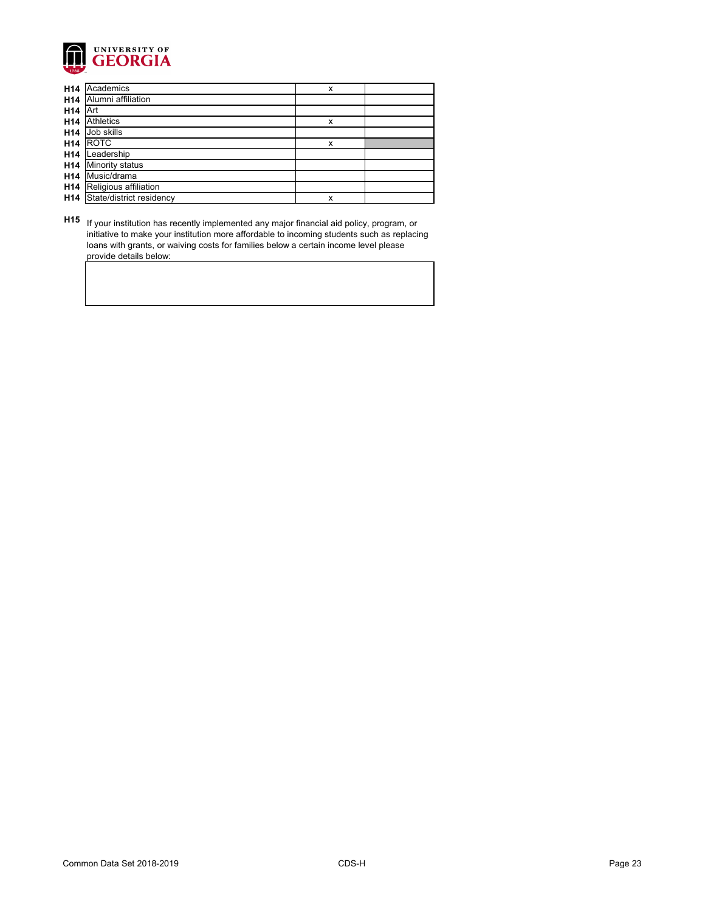

| H14             | Academics                | X |  |
|-----------------|--------------------------|---|--|
| H14             | Alumni affiliation       |   |  |
| H14             | <b>Art</b>               |   |  |
| H14             | <b>Athletics</b>         | X |  |
| H14             | Job skills               |   |  |
| H14             | <b>ROTC</b>              | X |  |
| H <sub>14</sub> | Leadership               |   |  |
| H14             | <b>Minority status</b>   |   |  |
| H14             | Music/drama              |   |  |
| H14             | Religious affiliation    |   |  |
| H14             | State/district residency | X |  |

**H15** If your institution has recently implemented any major financial aid policy, program, or initiative to make your institution more affordable to incoming students such as replacing loans with grants, or waiving costs for families below a certain income level please provide details below: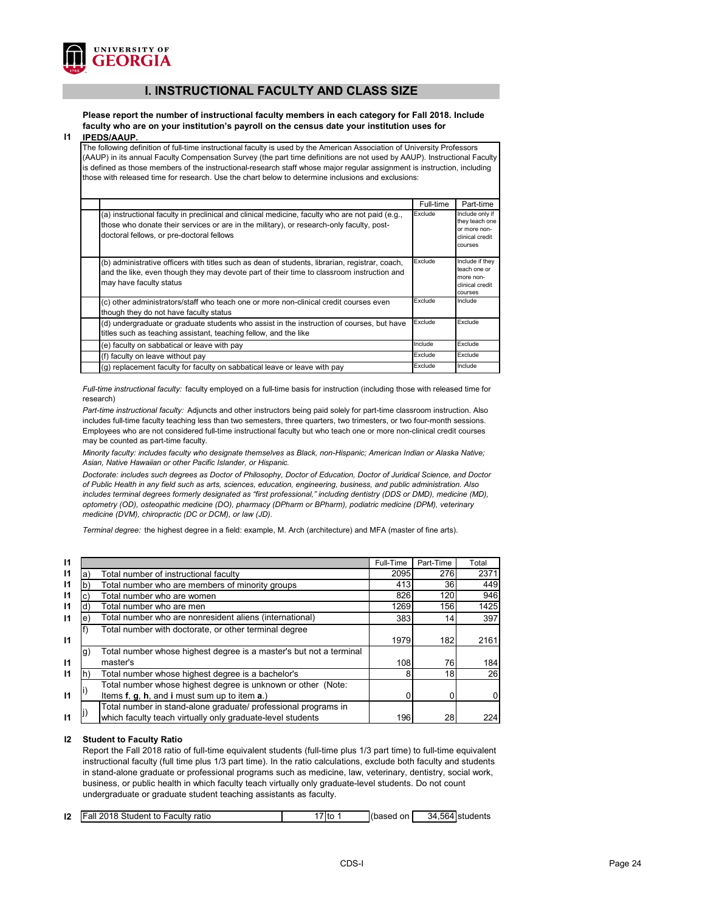

# **I. INSTRUCTIONAL FACULTY AND CLASS SIZE**

**Please report the number of instructional faculty members in each category for Fall 2018. Include faculty who are on your institution's payroll on the census date your institution uses for** 

#### **I1 IPEDS/AAUP.**

The following definition of full-time instructional faculty is used by the American Association of University Professors (AAUP) in its annual Faculty Compensation Survey (the part time definitions are not used by AAUP). Instructional Faculty is defined as those members of the instructional-research staff whose major regular assignment is instruction, including those with released time for research. Use the chart below to determine inclusions and exclusions:

|                                                                                                                                                                                                                                          | Full-time | Part-time                                                                       |
|------------------------------------------------------------------------------------------------------------------------------------------------------------------------------------------------------------------------------------------|-----------|---------------------------------------------------------------------------------|
| (a) instructional faculty in preclinical and clinical medicine, faculty who are not paid (e.g.,<br>those who donate their services or are in the military), or research-only faculty, post-<br>doctoral fellows, or pre-doctoral fellows | Exclude   | Include only if<br>they teach one<br>or more non-<br>clinical credit<br>courses |
| (b) administrative officers with titles such as dean of students, librarian, registrar, coach,<br>and the like, even though they may devote part of their time to classroom instruction and<br>may have faculty status                   | Exclude   | Include if they<br>teach one or<br>more non-<br>clinical credit<br>courses      |
| (c) other administrators/staff who teach one or more non-clinical credit courses even<br>though they do not have faculty status                                                                                                          | Exclude   | Include                                                                         |
| (d) undergraduate or graduate students who assist in the instruction of courses, but have<br>titles such as teaching assistant, teaching fellow, and the like                                                                            | Exclude   | Exclude                                                                         |
| (e) faculty on sabbatical or leave with pay                                                                                                                                                                                              | Include   | Exclude                                                                         |
| (f) faculty on leave without pay                                                                                                                                                                                                         | Exclude   | Exclude                                                                         |
| (g) replacement faculty for faculty on sabbatical leave or leave with pay                                                                                                                                                                | Exclude   | Include                                                                         |

*Full-time instructional faculty:* faculty employed on a full-time basis for instruction (including those with released time for research)

*Part-time instructional faculty:* Adjuncts and other instructors being paid solely for part-time classroom instruction. Also includes full-time faculty teaching less than two semesters, three quarters, two trimesters, or two four-month sessions. Employees who are not considered full-time instructional faculty but who teach one or more non-clinical credit courses may be counted as part-time faculty.

*Minority faculty: includes faculty who designate themselves as Black, non-Hispanic; American Indian or Alaska Native; Asian, Native Hawaiian or other Pacific Islander, or Hispanic.* 

*Doctorate: includes such degrees as Doctor of Philosophy, Doctor of Education, Doctor of Juridical Science, and Doctor of Public Health in any field such as arts, sciences, education, engineering, business, and public administration. Also*  includes terminal degrees formerly designated as "first professional," including dentistry (DDS or DMD), medicine (MD), *optometry (OD), osteopathic medicine (DO), pharmacy (DPharm or BPharm), podiatric medicine (DPM), veterinary medicine (DVM), chiropractic (DC or DCM), or law (JD).*

*Terminal degree:* the highest degree in a field: example, M. Arch (architecture) and MFA (master of fine arts).

| $\mathbf{I}$ |                                                                           | Full-Time | Part-Time | Total          |
|--------------|---------------------------------------------------------------------------|-----------|-----------|----------------|
| $\mathsf{I}$ | Total number of instructional faculty<br>a)                               | 2095      | 276       | 2371           |
| $\mathbf{I}$ | Total number who are members of minority groups<br>b                      | 413       | 36        | 449            |
| $\mathsf{I}$ | Total number who are women                                                | 826       | 120       | 946            |
| 11           | Total number who are men<br>d)                                            | 1269      | 156       | 1425           |
| $\mathsf{I}$ | Total number who are nonresident aliens (international)<br>$\epsilon$     | 383       | 14        | 397            |
|              | Total number with doctorate, or other terminal degree                     |           |           |                |
| $\mathbf{I}$ |                                                                           | 1979      | 182       | 2161           |
|              | Total number whose highest degree is a master's but not a terminal<br>lg) |           |           |                |
| $\mathbf{I}$ | master's                                                                  | 108       | 76        | 184            |
| 11           | Total number whose highest degree is a bachelor's<br>$\vert \vert$        |           | 18        | 26             |
|              | Total number whose highest degree is unknown or other (Note:              |           |           |                |
| $\mathsf{I}$ | Items f, g, h, and i must sum up to item a.)                              |           |           | $\overline{0}$ |
|              | Total number in stand-alone graduate/ professional programs in            |           |           |                |
| 11           | which faculty teach virtually only graduate-level students                | 196       | 28        | 224            |

#### **I2 Student to Faculty Ratio**

Report the Fall 2018 ratio of full-time equivalent students (full-time plus 1/3 part time) to full-time equivalent instructional faculty (full time plus 1/3 part time). In the ratio calculations, exclude both faculty and students in stand-alone graduate or professional programs such as medicine, law, veterinary, dentistry, social work, business, or public health in which faculty teach virtually only graduate-level students. Do not count undergraduate or graduate student teaching assistants as faculty.

| 12<br>. 2018 Student to !<br>34<br>'Fall ∶<br><b>Faculty ratio</b><br>(based<br>on<br>ʻitc<br>.564 students |
|-------------------------------------------------------------------------------------------------------------|
|-------------------------------------------------------------------------------------------------------------|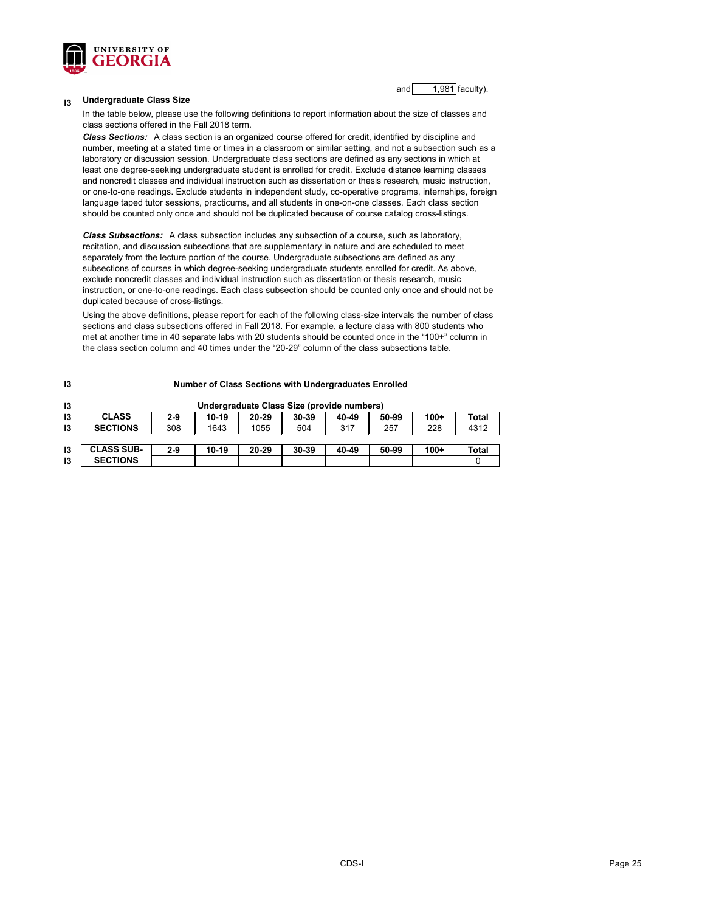

and 1,981 faculty).

#### **I3 Undergraduate Class Size**

In the table below, please use the following definitions to report information about the size of classes and class sections offered in the Fall 2018 term.

*Class Sections:* A class section is an organized course offered for credit, identified by discipline and number, meeting at a stated time or times in a classroom or similar setting, and not a subsection such as a laboratory or discussion session. Undergraduate class sections are defined as any sections in which at least one degree-seeking undergraduate student is enrolled for credit. Exclude distance learning classes and noncredit classes and individual instruction such as dissertation or thesis research, music instruction, or one-to-one readings. Exclude students in independent study, co-operative programs, internships, foreign language taped tutor sessions, practicums, and all students in one-on-one classes. Each class section should be counted only once and should not be duplicated because of course catalog cross-listings.

*Class Subsections:* A class subsection includes any subsection of a course, such as laboratory, recitation, and discussion subsections that are supplementary in nature and are scheduled to meet separately from the lecture portion of the course. Undergraduate subsections are defined as any subsections of courses in which degree-seeking undergraduate students enrolled for credit. As above, exclude noncredit classes and individual instruction such as dissertation or thesis research, music instruction, or one-to-one readings. Each class subsection should be counted only once and should not be duplicated because of cross-listings.

Using the above definitions, please report for each of the following class-size intervals the number of class sections and class subsections offered in Fall 2018. For example, a lecture class with 800 students who met at another time in 40 separate labs with 20 students should be counted once in the "100+" column in the class section column and 40 times under the "20-29" column of the class subsections table.

| 13 | <b>Number of Class Sections with Undergraduates Enrolled</b> |         |         |           |                                            |       |       |        |       |
|----|--------------------------------------------------------------|---------|---------|-----------|--------------------------------------------|-------|-------|--------|-------|
| 13 |                                                              |         |         |           | Undergraduate Class Size (provide numbers) |       |       |        |       |
| 13 | <b>CLASS</b>                                                 | $2 - 9$ | $10-19$ | $20 - 29$ | $30 - 39$                                  | 40-49 | 50-99 | $100+$ | Total |
| 13 | <b>SECTIONS</b>                                              | 308     | 1643    | 1055      | 504                                        | 317   | 257   | 228    | 4312  |
|    |                                                              |         |         |           |                                            |       |       |        |       |
| 13 | <b>CLASS SUB-</b>                                            | $2 - 9$ | $10-19$ | $20 - 29$ | $30 - 39$                                  | 40-49 | 50-99 | $100+$ | Total |
| 13 | <b>SECTIONS</b>                                              |         |         |           |                                            |       |       |        |       |

#### CDS-I Page 25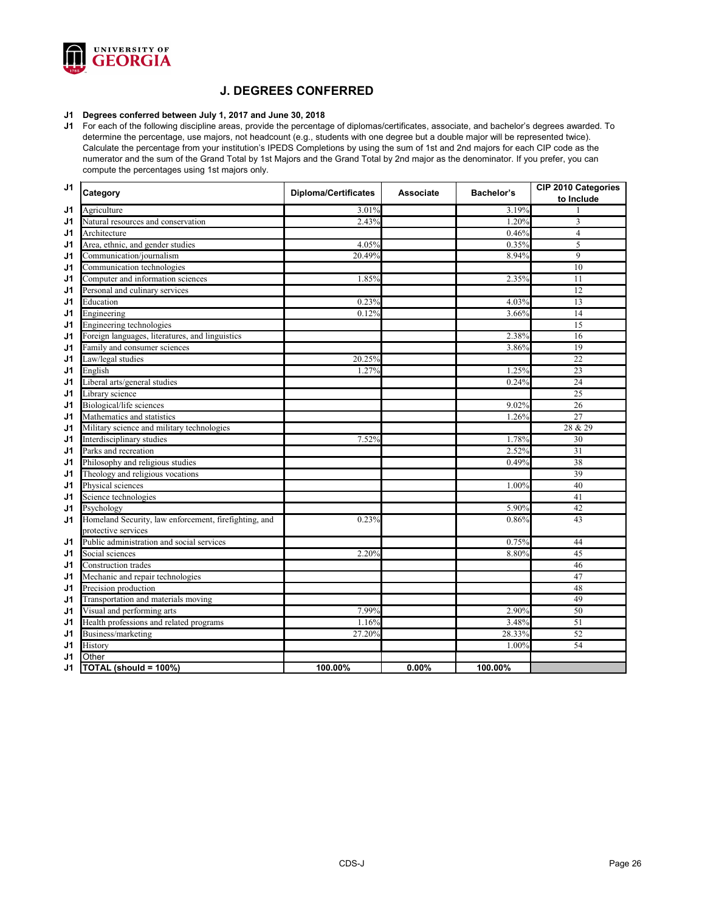

# **J. DEGREES CONFERRED**

#### **J1 Degrees conferred between July 1, 2017 and June 30, 2018**

**J1** For each of the following discipline areas, provide the percentage of diplomas/certificates, associate, and bachelor's degrees awarded. To determine the percentage, use majors, not headcount (e.g., students with one degree but a double major will be represented twice). Calculate the percentage from your institution's IPEDS Completions by using the sum of 1st and 2nd majors for each CIP code as the numerator and the sum of the Grand Total by 1st Majors and the Grand Total by 2nd major as the denominator. If you prefer, you can compute the percentages using 1st majors only.

| J <sub>1</sub> | Category                                              | <b>Diploma/Certificates</b> | <b>Associate</b> | <b>Bachelor's</b> | <b>CIP 2010 Categories</b><br>to Include |
|----------------|-------------------------------------------------------|-----------------------------|------------------|-------------------|------------------------------------------|
| J <sub>1</sub> | Agriculture                                           | 3.01%                       |                  | 3.19%             |                                          |
| J <sub>1</sub> | Natural resources and conservation                    | 2.43%                       |                  | 1.20%             | 3                                        |
| J <sub>1</sub> | Architecture                                          |                             |                  | 0.46%             | $\overline{4}$                           |
| J <sub>1</sub> | Area, ethnic, and gender studies                      | 4.05%                       |                  | 0.35%             | 5                                        |
| J <sub>1</sub> | Communication/journalism                              | 20.49%                      |                  | 8.94%             | $\boldsymbol{9}$                         |
| J <sub>1</sub> | Communication technologies                            |                             |                  |                   | 10                                       |
| J <sub>1</sub> | Computer and information sciences                     | 1.85%                       |                  | 2.35%             | 11                                       |
| J <sub>1</sub> | Personal and culinary services                        |                             |                  |                   | 12                                       |
| J <sub>1</sub> | Education                                             | 0.23%                       |                  | 4.03%             | 13                                       |
| J <sub>1</sub> | Engineering                                           | 0.12%                       |                  | 3.66%             | 14                                       |
| J <sub>1</sub> | Engineering technologies                              |                             |                  |                   | $\overline{15}$                          |
| J <sub>1</sub> | Foreign languages, literatures, and linguistics       |                             |                  | 2.38%             | 16                                       |
| J <sub>1</sub> | Family and consumer sciences                          |                             |                  | 3.86%             | 19                                       |
| J <sub>1</sub> | Law/legal studies                                     | 20.25%                      |                  |                   | 22                                       |
| J <sub>1</sub> | English                                               | 1.27%                       |                  | 1.25%             | 23                                       |
| J <sub>1</sub> | Liberal arts/general studies                          |                             |                  | 0.24%             | $\overline{24}$                          |
| J <sub>1</sub> | Library science                                       |                             |                  |                   | 25                                       |
| J <sub>1</sub> | Biological/life sciences                              |                             |                  | 9.02%             | 26                                       |
| J <sub>1</sub> | Mathematics and statistics                            |                             |                  | 1.26%             | $\overline{27}$                          |
| J <sub>1</sub> | Military science and military technologies            |                             |                  |                   | 28 & 29                                  |
| J <sub>1</sub> | Interdisciplinary studies                             | 7.52%                       |                  | 1.78%             | 30                                       |
| J <sub>1</sub> | Parks and recreation                                  |                             |                  | 2.52%             | 31                                       |
| J <sub>1</sub> | Philosophy and religious studies                      |                             |                  | 0.49%             | 38                                       |
| J <sub>1</sub> | Theology and religious vocations                      |                             |                  |                   | 39                                       |
| J <sub>1</sub> | Physical sciences                                     |                             |                  | 1.00%             | 40                                       |
| J <sub>1</sub> | Science technologies                                  |                             |                  |                   | 41                                       |
| J <sub>1</sub> | Psychology                                            |                             |                  | 5.90%             | 42                                       |
| J <sub>1</sub> | Homeland Security, law enforcement, firefighting, and | 0.23%                       |                  | 0.86%             | 43                                       |
|                | protective services                                   |                             |                  |                   |                                          |
| J1             | Public administration and social services             |                             |                  | 0.75%             | 44                                       |
| J <sub>1</sub> | Social sciences                                       | 2.20%                       |                  | 8.80%             | 45                                       |
| J1             | Construction trades                                   |                             |                  |                   | 46                                       |
| J <sub>1</sub> | Mechanic and repair technologies                      |                             |                  |                   | 47                                       |
| J <sub>1</sub> | Precision production                                  |                             |                  |                   | 48                                       |
| J1             | Transportation and materials moving                   |                             |                  |                   | 49                                       |
| J1             | Visual and performing arts                            | 7.99%                       |                  | 2.90%             | 50                                       |
| J <sub>1</sub> | Health professions and related programs               | 1.16%                       |                  | 3.48%             | $\overline{51}$                          |
| J <sub>1</sub> | Business/marketing                                    | 27.20%                      |                  | 28.33%            | 52                                       |
| J1             | History                                               |                             |                  | 1.00%             | 54                                       |
| J <sub>1</sub> | Other                                                 |                             |                  |                   |                                          |
| J <sub>1</sub> | TOTAL (should = 100%)                                 | 100.00%                     | 0.00%            | 100.00%           |                                          |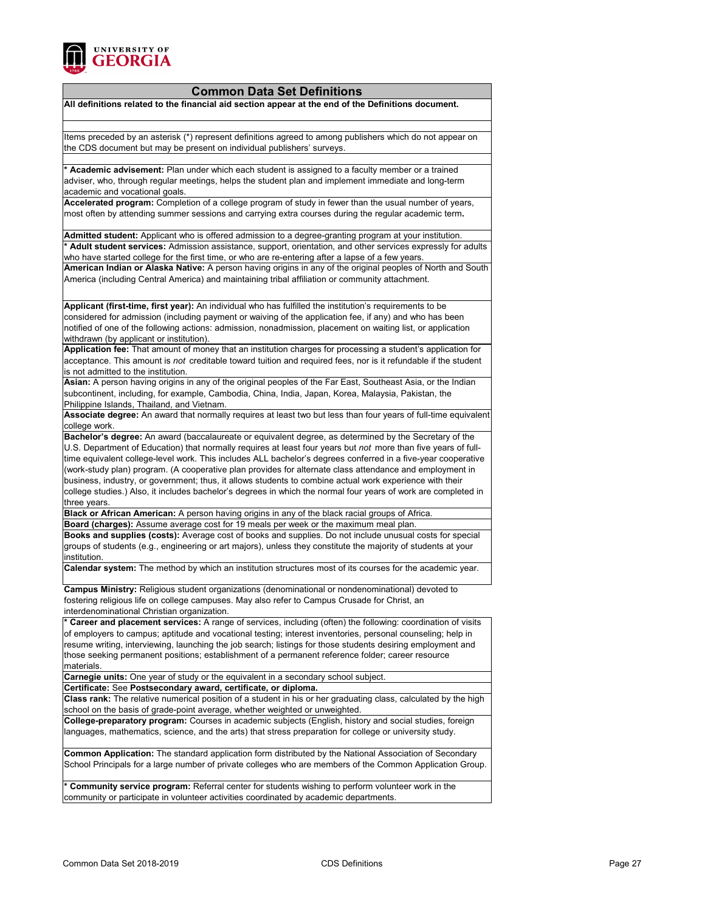

### **Common Data Set Definitions**

**All definitions related to the financial aid section appear at the end of the Definitions document.**

Items preceded by an asterisk (\*) represent definitions agreed to among publishers which do not appear on the CDS document but may be present on individual publishers' surveys.

**\* Academic advisement:** Plan under which each student is assigned to a faculty member or a trained adviser, who, through regular meetings, helps the student plan and implement immediate and long-term academic and vocational goals.

**Accelerated program:** Completion of a college program of study in fewer than the usual number of years, most often by attending summer sessions and carrying extra courses during the regular academic term**.**

**Admitted student:** Applicant who is offered admission to a degree-granting program at your institution. **\* Adult student services:** Admission assistance, support, orientation, and other services expressly for adults who have started college for the first time, or who are re-entering after a lapse of a few years.

**American Indian or Alaska Native:** A person having origins in any of the original peoples of North and South America (including Central America) and maintaining tribal affiliation or community attachment.

**Applicant (first-time, first year):** An individual who has fulfilled the institution's requirements to be considered for admission (including payment or waiving of the application fee, if any) and who has been notified of one of the following actions: admission, nonadmission, placement on waiting list, or application withdrawn (by applicant or institution).

**Application fee:** That amount of money that an institution charges for processing a student's application for acceptance. This amount is *not* creditable toward tuition and required fees, nor is it refundable if the student is not admitted to the institution.

**Asian:** A person having origins in any of the original peoples of the Far East, Southeast Asia, or the Indian subcontinent, including, for example, Cambodia, China, India, Japan, Korea, Malaysia, Pakistan, the Philippine Islands, Thailand, and Vietnam.

**Associate degree:** An award that normally requires at least two but less than four years of full-time equivalent college work.

**Bachelor's degree:** An award (baccalaureate or equivalent degree, as determined by the Secretary of the U.S. Department of Education) that normally requires at least four years but *not* more than five years of fulltime equivalent college-level work. This includes ALL bachelor's degrees conferred in a five-year cooperative (work-study plan) program. (A cooperative plan provides for alternate class attendance and employment in business, industry, or government; thus, it allows students to combine actual work experience with their college studies.) Also, it includes bachelor's degrees in which the normal four years of work are completed in three years.

**Black or African American:** A person having origins in any of the black racial groups of Africa.

**Board (charges):** Assume average cost for 19 meals per week or the maximum meal plan. **Books and supplies (costs):** Average cost of books and supplies. Do not include unusual costs for special groups of students (e.g., engineering or art majors), unless they constitute the majority of students at your institution.

**Calendar system:** The method by which an institution structures most of its courses for the academic year.

**Campus Ministry:** Religious student organizations (denominational or nondenominational) devoted to fostering religious life on college campuses. May also refer to Campus Crusade for Christ, an interdenominational Christian organization.

**\* Career and placement services:** A range of services, including (often) the following: coordination of visits of employers to campus; aptitude and vocational testing; interest inventories, personal counseling; help in resume writing, interviewing, launching the job search; listings for those students desiring employment and those seeking permanent positions; establishment of a permanent reference folder; career resource materials.

**Carnegie units:** One year of study or the equivalent in a secondary school subject.

**Certificate:** See **Postsecondary award, certificate, or diploma.**

**Class rank:** The relative numerical position of a student in his or her graduating class, calculated by the high school on the basis of grade-point average, whether weighted or unweighted.

**College-preparatory program:** Courses in academic subjects (English, history and social studies, foreign languages, mathematics, science, and the arts) that stress preparation for college or university study.

**Common Application:** The standard application form distributed by the National Association of Secondary School Principals for a large number of private colleges who are members of the Common Application Group.

**\* Community service program:** Referral center for students wishing to perform volunteer work in the community or participate in volunteer activities coordinated by academic departments.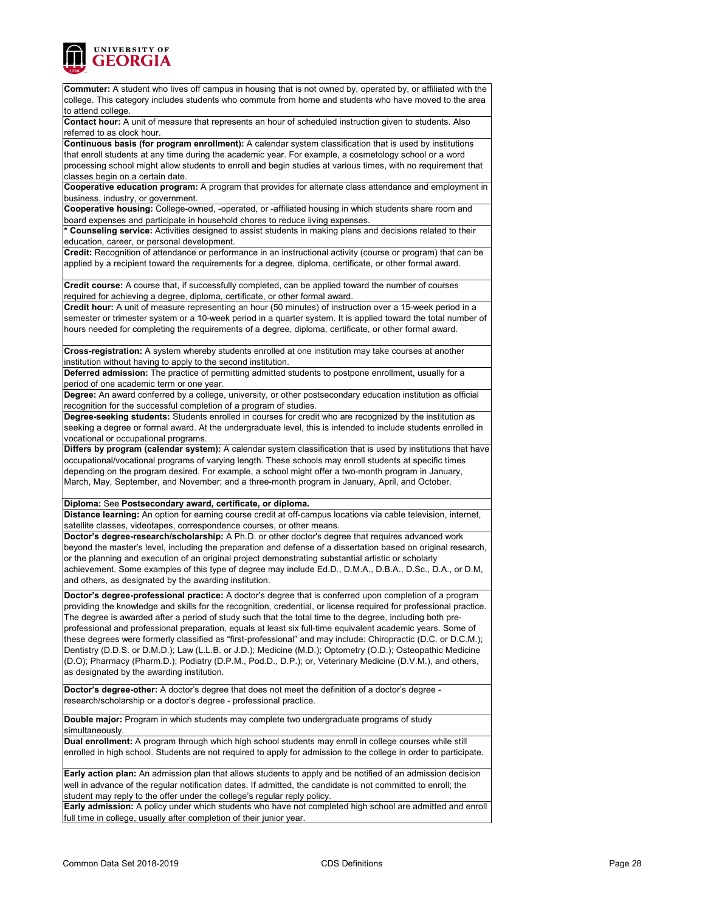

| Commuter: A student who lives off campus in housing that is not owned by, operated by, or affiliated with the<br>college. This category includes students who commute from home and students who have moved to the area<br>to attend college.                                                                                                                                                                                                             |
|-----------------------------------------------------------------------------------------------------------------------------------------------------------------------------------------------------------------------------------------------------------------------------------------------------------------------------------------------------------------------------------------------------------------------------------------------------------|
| Contact hour: A unit of measure that represents an hour of scheduled instruction given to students. Also<br>referred to as clock hour.                                                                                                                                                                                                                                                                                                                    |
| Continuous basis (for program enrollment): A calendar system classification that is used by institutions                                                                                                                                                                                                                                                                                                                                                  |
| that enroll students at any time during the academic year. For example, a cosmetology school or a word                                                                                                                                                                                                                                                                                                                                                    |
| processing school might allow students to enroll and begin studies at various times, with no requirement that<br>classes begin on a certain date.                                                                                                                                                                                                                                                                                                         |
| Cooperative education program: A program that provides for alternate class attendance and employment in                                                                                                                                                                                                                                                                                                                                                   |
| business, industry, or government.                                                                                                                                                                                                                                                                                                                                                                                                                        |
| Cooperative housing: College-owned, -operated, or -affiliated housing in which students share room and<br>board expenses and participate in household chores to reduce living expenses.                                                                                                                                                                                                                                                                   |
| * Counseling service: Activities designed to assist students in making plans and decisions related to their                                                                                                                                                                                                                                                                                                                                               |
| education, career, or personal development.                                                                                                                                                                                                                                                                                                                                                                                                               |
| Credit: Recognition of attendance or performance in an instructional activity (course or program) that can be<br>applied by a recipient toward the requirements for a degree, diploma, certificate, or other formal award.                                                                                                                                                                                                                                |
| Credit course: A course that, if successfully completed, can be applied toward the number of courses<br>required for achieving a degree, diploma, certificate, or other formal award.                                                                                                                                                                                                                                                                     |
| Credit hour: A unit of measure representing an hour (50 minutes) of instruction over a 15-week period in a                                                                                                                                                                                                                                                                                                                                                |
| semester or trimester system or a 10-week period in a quarter system. It is applied toward the total number of<br>hours needed for completing the requirements of a degree, diploma, certificate, or other formal award.                                                                                                                                                                                                                                  |
| Cross-registration: A system whereby students enrolled at one institution may take courses at another<br>institution without having to apply to the second institution.                                                                                                                                                                                                                                                                                   |
| Deferred admission: The practice of permitting admitted students to postpone enrollment, usually for a                                                                                                                                                                                                                                                                                                                                                    |
| period of one academic term or one year.<br>Degree: An award conferred by a college, university, or other postsecondary education institution as official                                                                                                                                                                                                                                                                                                 |
| recognition for the successful completion of a program of studies.<br>Degree-seeking students: Students enrolled in courses for credit who are recognized by the institution as                                                                                                                                                                                                                                                                           |
| seeking a degree or formal award. At the undergraduate level, this is intended to include students enrolled in<br>vocational or occupational programs.                                                                                                                                                                                                                                                                                                    |
| Differs by program (calendar system): A calendar system classification that is used by institutions that have                                                                                                                                                                                                                                                                                                                                             |
| occupational/vocational programs of varying length. These schools may enroll students at specific times<br>depending on the program desired. For example, a school might offer a two-month program in January,<br>March, May, September, and November; and a three-month program in January, April, and October.                                                                                                                                          |
| Diploma: See Postsecondary award, certificate, or diploma.                                                                                                                                                                                                                                                                                                                                                                                                |
| Distance learning: An option for earning course credit at off-campus locations via cable television, internet,                                                                                                                                                                                                                                                                                                                                            |
| satellite classes, videotapes, correspondence courses, or other means.<br>Doctor's degree-research/scholarship: A Ph.D. or other doctor's degree that requires advanced work                                                                                                                                                                                                                                                                              |
| beyond the master's level, including the preparation and defense of a dissertation based on original research,                                                                                                                                                                                                                                                                                                                                            |
| or the planning and execution of an original project demonstrating substantial artistic or scholarly                                                                                                                                                                                                                                                                                                                                                      |
| achievement. Some examples of this type of degree may include Ed.D., D.M.A., D.B.A., D.Sc., D.A., or D.M,<br>and others, as designated by the awarding institution.                                                                                                                                                                                                                                                                                       |
| Doctor's degree-professional practice: A doctor's degree that is conferred upon completion of a program<br>providing the knowledge and skills for the recognition, credential, or license required for professional practice.<br>The degree is awarded after a period of study such that the total time to the degree, including both pre-<br>professional and professional preparation, equals at least six full-time equivalent academic years. Some of |
| these degrees were formerly classified as "first-professional" and may include: Chiropractic (D.C. or D.C.M.);<br>Dentistry (D.D.S. or D.M.D.); Law (L.L.B. or J.D.); Medicine (M.D.); Optometry (O.D.); Osteopathic Medicine<br>(D.O); Pharmacy (Pharm.D.); Podiatry (D.P.M., Pod.D., D.P.); or, Veterinary Medicine (D.V.M.), and others,<br>as designated by the awarding institution.                                                                 |
| Doctor's degree-other: A doctor's degree that does not meet the definition of a doctor's degree -<br>research/scholarship or a doctor's degree - professional practice.                                                                                                                                                                                                                                                                                   |
| Double major: Program in which students may complete two undergraduate programs of study<br>simultaneously.                                                                                                                                                                                                                                                                                                                                               |
| Dual enrollment: A program through which high school students may enroll in college courses while still<br>enrolled in high school. Students are not required to apply for admission to the college in order to participate.                                                                                                                                                                                                                              |
| Early action plan: An admission plan that allows students to apply and be notified of an admission decision<br>well in advance of the regular notification dates. If admitted, the candidate is not committed to enroll; the<br>student may reply to the offer under the college's regular reply policy.                                                                                                                                                  |
| Early admission: A policy under which students who have not completed high school are admitted and enroll                                                                                                                                                                                                                                                                                                                                                 |
| full time in college, usually after completion of their junior year.                                                                                                                                                                                                                                                                                                                                                                                      |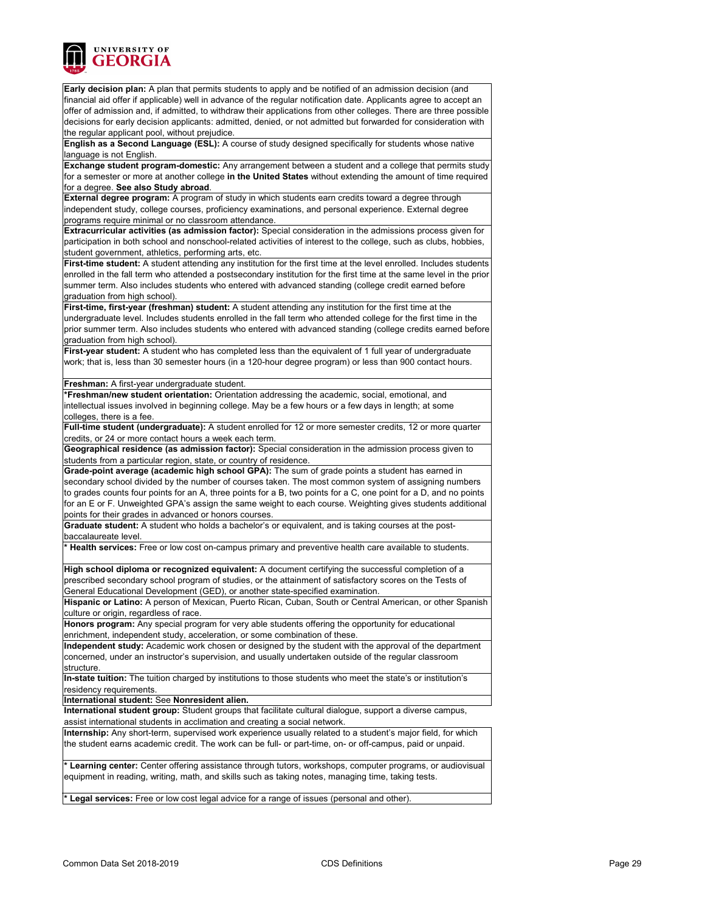

**Early decision plan:** A plan that permits students to apply and be notified of an admission decision (and financial aid offer if applicable) well in advance of the regular notification date. Applicants agree to accept an offer of admission and, if admitted, to withdraw their applications from other colleges. There are three possible decisions for early decision applicants: admitted, denied, or not admitted but forwarded for consideration with the regular applicant pool, without prejudice.

**English as a Second Language (ESL):** A course of study designed specifically for students whose native language is not English.

**Exchange student program-domestic:** Any arrangement between a student and a college that permits study for a semester or more at another college **in the United States** without extending the amount of time required for a degree. **See also Study abroad**.

**External degree program:** A program of study in which students earn credits toward a degree through independent study, college courses, proficiency examinations, and personal experience. External degree programs require minimal or no classroom attendance.

**Extracurricular activities (as admission factor):** Special consideration in the admissions process given for participation in both school and nonschool-related activities of interest to the college, such as clubs, hobbies, student government, athletics, performing arts, etc.

**First-time student:** A student attending any institution for the first time at the level enrolled. Includes students enrolled in the fall term who attended a postsecondary institution for the first time at the same level in the prior summer term. Also includes students who entered with advanced standing (college credit earned before graduation from high school).

**First-time, first-year (freshman) student:** A student attending any institution for the first time at the undergraduate level. Includes students enrolled in the fall term who attended college for the first time in the prior summer term. Also includes students who entered with advanced standing (college credits earned before graduation from high school).

**First-year student:** A student who has completed less than the equivalent of 1 full year of undergraduate work; that is, less than 30 semester hours (in a 120-hour degree program) or less than 900 contact hours.

#### **Freshman:** A first-year undergraduate student.

**\*Freshman/new student orientation:** Orientation addressing the academic, social, emotional, and intellectual issues involved in beginning college. May be a few hours or a few days in length; at some colleges, there is a fee.

**Full-time student (undergraduate):** A student enrolled for 12 or more semester credits, 12 or more quarter credits, or 24 or more contact hours a week each term.

**Geographical residence (as admission factor):** Special consideration in the admission process given to students from a particular region, state, or country of residence.

**Grade-point average (academic high school GPA):** The sum of grade points a student has earned in secondary school divided by the number of courses taken. The most common system of assigning numbers to grades counts four points for an A, three points for a B, two points for a C, one point for a D, and no points for an E or F. Unweighted GPA's assign the same weight to each course. Weighting gives students additional points for their grades in advanced or honors courses.

**Graduate student:** A student who holds a bachelor's or equivalent, and is taking courses at the postbaccalaureate level.

**\* Health services:** Free or low cost on-campus primary and preventive health care available to students.

**High school diploma or recognized equivalent:** A document certifying the successful completion of a prescribed secondary school program of studies, or the attainment of satisfactory scores on the Tests of General Educational Development (GED), or another state-specified examination.

**Hispanic or Latino:** A person of Mexican, Puerto Rican, Cuban, South or Central American, or other Spanish culture or origin, regardless of race.

**Honors program:** Any special program for very able students offering the opportunity for educational enrichment, independent study, acceleration, or some combination of these.

**Independent study:** Academic work chosen or designed by the student with the approval of the department concerned, under an instructor's supervision, and usually undertaken outside of the regular classroom structure.

**In-state tuition:** The tuition charged by institutions to those students who meet the state's or institution's residency requirements.

**International student:** See **Nonresident alien.**

**International student group:** Student groups that facilitate cultural dialogue, support a diverse campus, assist international students in acclimation and creating a social network.

**Internship:** Any short-term, supervised work experience usually related to a student's major field, for which the student earns academic credit. The work can be full- or part-time, on- or off-campus, paid or unpaid.

Learning center: Center offering assistance through tutors, workshops, computer programs, or audiovisual equipment in reading, writing, math, and skills such as taking notes, managing time, taking tests.

**\* Legal services:** Free or low cost legal advice for a range of issues (personal and other).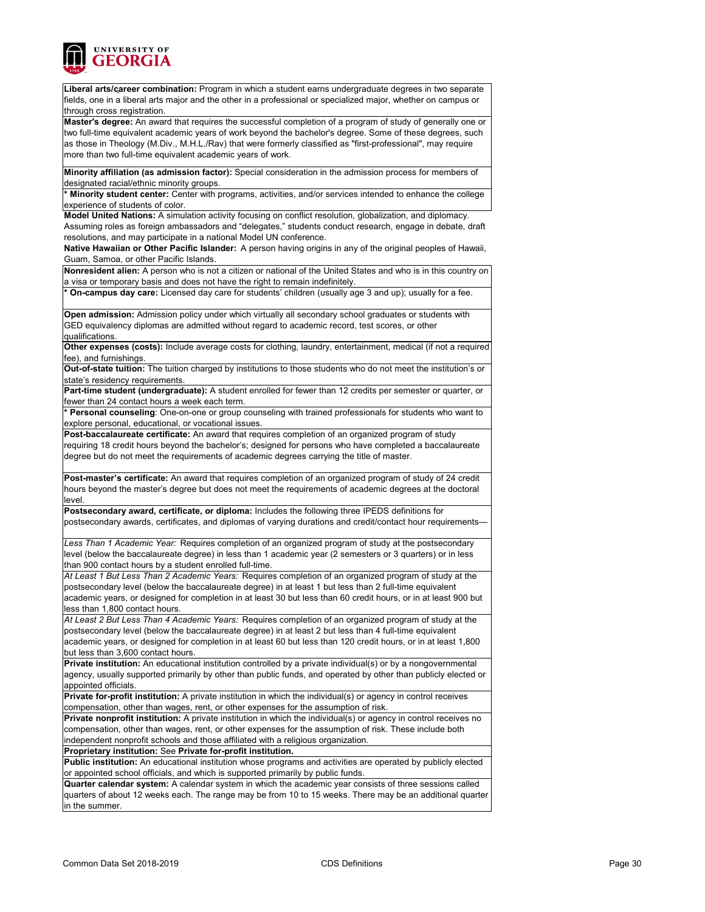

**Liberal arts/career combination:** Program in which a student earns undergraduate degrees in two separate fields, one in a liberal arts major and the other in a professional or specialized major, whether on campus or ‑ through cross registration.

**Master's degree:** An award that requires the successful completion of a program of study of generally one or two full-time equivalent academic years of work beyond the bachelor's degree. Some of these degrees, such as those in Theology (M.Div., M.H.L./Rav) that were formerly classified as "first-professional", may require more than two full-time equivalent academic years of work.

**Minority affiliation (as admission factor):** Special consideration in the admission process for members of designated racial/ethnic minority groups.

**\* Minority student center:** Center with programs, activities, and/or services intended to enhance the college experience of students of color.

**Model United Nations:** A simulation activity focusing on conflict resolution, globalization, and diplomacy.

Assuming roles as foreign ambassadors and "delegates," students conduct research, engage in debate, draft resolutions, and may participate in a national Model UN conference.

**Native Hawaiian or Other Pacific Islander:** A person having origins in any of the original peoples of Hawaii, Guam, Samoa, or other Pacific Islands.

**Nonresident alien:** A person who is not a citizen or national of the United States and who is in this country on a visa or temporary basis and does not have the right to remain indefinitely.

**\* On-campus day care:** Licensed day care for students' children (usually age 3 and up); usually for a fee.

**Open admission:** Admission policy under which virtually all secondary school graduates or students with GED equivalency diplomas are admitted without regard to academic record, test scores, or other qualifications.

**Other expenses (costs):** Include average costs for clothing, laundry, entertainment, medical (if not a required fee), and furnishings.

**Out-of-state tuition:** The tuition charged by institutions to those students who do not meet the institution's or state's residency requirements.

**Part-time student (undergraduate):** A student enrolled for fewer than 12 credits per semester or quarter, or fewer than 24 contact hours a week each term.

**\* Personal counseling**: One-on-one or group counseling with trained professionals for students who want to explore personal, educational, or vocational issues.

**Post-baccalaureate certificate:** An award that requires completion of an organized program of study requiring 18 credit hours beyond the bachelor's; designed for persons who have completed a baccalaureate degree but do not meet the requirements of academic degrees carrying the title of master.

**Post-master's certificate:** An award that requires completion of an organized program of study of 24 credit hours beyond the master's degree but does not meet the requirements of academic degrees at the doctoral level.

**Postsecondary award, certificate, or diploma:** Includes the following three IPEDS definitions for postsecondary awards, certificates, and diplomas of varying durations and credit/contact hour requirements—

*Less Than 1 Academic Year:* Requires completion of an organized program of study at the postsecondary level (below the baccalaureate degree) in less than 1 academic year (2 semesters or 3 quarters) or in less than 900 contact hours by a student enrolled full-time.

*At Least 1 But Less Than 2 Academic Years:* Requires completion of an organized program of study at the postsecondary level (below the baccalaureate degree) in at least 1 but less than 2 full-time equivalent academic years, or designed for completion in at least 30 but less than 60 credit hours, or in at least 900 but less than 1,800 contact hours.

*At Least 2 But Less Than 4 Academic Years:* Requires completion of an organized program of study at the postsecondary level (below the baccalaureate degree) in at least 2 but less than 4 full-time equivalent academic years, or designed for completion in at least 60 but less than 120 credit hours, or in at least 1,800 but less than 3,600 contact hours.

**Private institution:** An educational institution controlled by a private individual(s) or by a nongovernmental agency, usually supported primarily by other than public funds, and operated by other than publicly elected or appointed officials.

**Private for-profit institution:** A private institution in which the individual(s) or agency in control receives compensation, other than wages, rent, or other expenses for the assumption of risk.

**Private nonprofit institution:** A private institution in which the individual(s) or agency in control receives no compensation, other than wages, rent, or other expenses for the assumption of risk. These include both independent nonprofit schools and those affiliated with a religious organization.

**Proprietary institution:** See **Private for-profit institution. Public institution:** An educational institution whose programs and activities are operated by publicly elected

or appointed school officials, and which is supported primarily by public funds.

**Quarter calendar system:** A calendar system in which the academic year consists of three sessions called quarters of about 12 weeks each. The range may be from 10 to 15 weeks. There may be an additional quarter in the summer.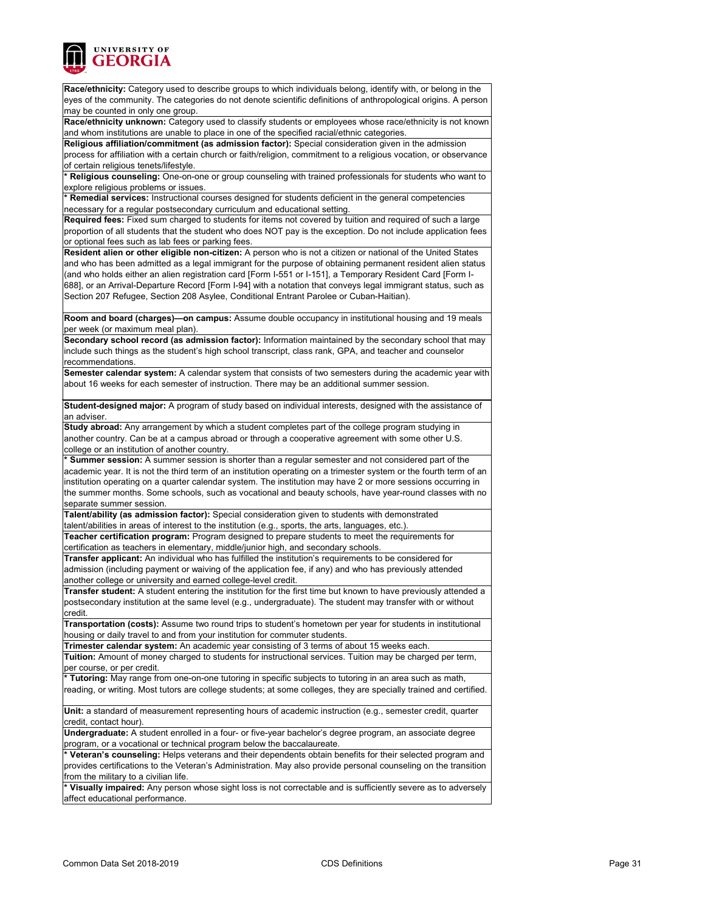

**Race/ethnicity:** Category used to describe groups to which individuals belong, identify with, or belong in the eyes of the community. The categories do not denote scientific definitions of anthropological origins. A person may be counted in only one group.

**Race/ethnicity unknown:** Category used to classify students or employees whose race/ethnicity is not known and whom institutions are unable to place in one of the specified racial/ethnic categories.

**Religious affiliation/commitment (as admission factor):** Special consideration given in the admission process for affiliation with a certain church or faith/religion, commitment to a religious vocation, or observance of certain religious tenets/lifestyle.

**\* Religious counseling:** One-on-one or group counseling with trained professionals for students who want to explore religious problems or issues.

**\* Remedial services:** Instructional courses designed for students deficient in the general competencies necessary for a regular postsecondary curriculum and educational setting.

**Required fees:** Fixed sum charged to students for items not covered by tuition and required of such a large proportion of all students that the student who does NOT pay is the exception. Do not include application fees or optional fees such as lab fees or parking fees.

**Resident alien or other eligible non-citizen:** A person who is not a citizen or national of the United States and who has been admitted as a legal immigrant for the purpose of obtaining permanent resident alien status (and who holds either an alien registration card [Form I-551 or I-151], a Temporary Resident Card [Form I-688], or an Arrival-Departure Record [Form I-94] with a notation that conveys legal immigrant status, such as Section 207 Refugee, Section 208 Asylee, Conditional Entrant Parolee or Cuban-Haitian).

**Room and board (charges)—on campus:** Assume double occupancy in institutional housing and 19 meals per week (or maximum meal plan).

**Secondary school record (as admission factor):** Information maintained by the secondary school that may include such things as the student's high school transcript, class rank, GPA, and teacher and counselor recommendations.

**Semester calendar system:** A calendar system that consists of two semesters during the academic year with about 16 weeks for each semester of instruction. There may be an additional summer session.

**Student-designed major:** A program of study based on individual interests, designed with the assistance of an adviser.

**Study abroad:** Any arrangement by which a student completes part of the college program studying in another country. Can be at a campus abroad or through a cooperative agreement with some other U.S. college or an institution of another country.

**\* Summer session:** A summer session is shorter than a regular semester and not considered part of the academic year. It is not the third term of an institution operating on a trimester system or the fourth term of an institution operating on a quarter calendar system. The institution may have 2 or more sessions occurring in the summer months. Some schools, such as vocational and beauty schools, have year-round classes with no separate summer session.

**Talent/ability (as admission factor):** Special consideration given to students with demonstrated talent/abilities in areas of interest to the institution (e.g., sports, the arts, languages, etc.). **Teacher certification program:** Program designed to prepare students to meet the requirements for

certification as teachers in elementary, middle/junior high, and secondary schools.

**Transfer applicant:** An individual who has fulfilled the institution's requirements to be considered for admission (including payment or waiving of the application fee, if any) and who has previously attended another college or university and earned college-level credit.

**Transfer student:** A student entering the institution for the first time but known to have previously attended a postsecondary institution at the same level (e.g., undergraduate). The student may transfer with or without credit.

**Transportation (costs):** Assume two round trips to student's hometown per year for students in institutional housing or daily travel to and from your institution for commuter students.

**Trimester calendar system:** An academic year consisting of 3 terms of about 15 weeks each.

**Tuition:** Amount of money charged to students for instructional services. Tuition may be charged per term, per course, or per credit.

**\* Tutoring:** May range from one-on-one tutoring in specific subjects to tutoring in an area such as math, reading, or writing. Most tutors are college students; at some colleges, they are specially trained and certified.

**Unit:** a standard of measurement representing hours of academic instruction (e.g., semester credit, quarter credit, contact hour).

**Undergraduate:** A student enrolled in a four- or five-year bachelor's degree program, an associate degree program, or a vocational or technical program below the baccalaureate.

Veteran's counseling: Helps veterans and their dependents obtain benefits for their selected program and provides certifications to the Veteran's Administration. May also provide personal counseling on the transition from the military to a civilian life.

Visually impaired: Any person whose sight loss is not correctable and is sufficiently severe as to adversely affect educational performance.